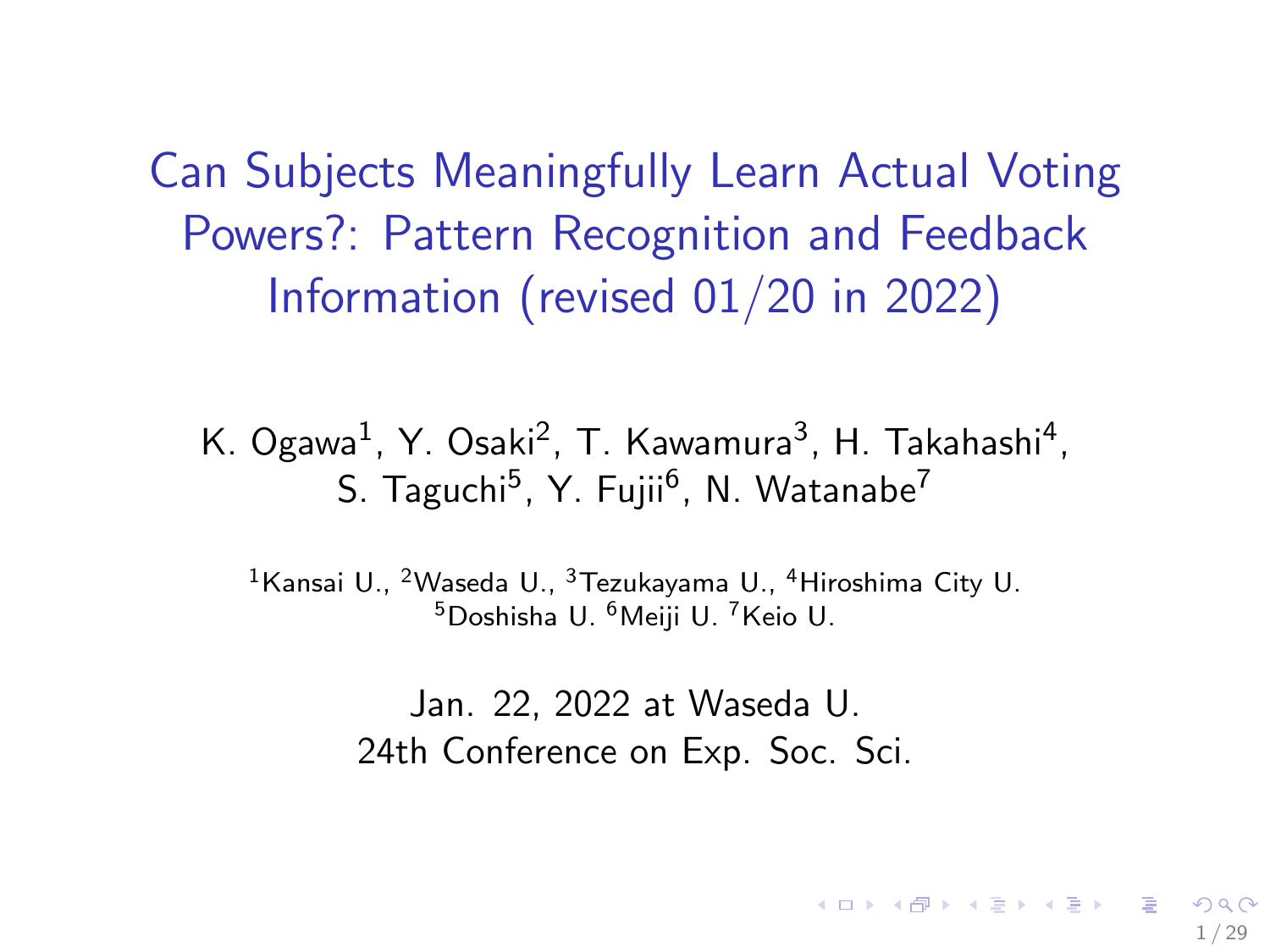<span id="page-0-0"></span>Can Subjects Meaningfully Learn Actual Voting Powers?: Pattern Recognition and Feedback Information (revised 01/20 in 2022)

K. Ogawa<sup>1</sup>, Y. Osaki<sup>2</sup>, T. Kawamura<sup>3</sup>, H. Takahashi<sup>4</sup>, S. Taguchi<sup>5</sup>, Y. Fujii<sup>6</sup>, N. Watanabe<sup>7</sup>

<sup>1</sup>Kansai U., <sup>2</sup>Waseda U., <sup>3</sup>Tezukayama U., <sup>4</sup>Hiroshima City U. <sup>5</sup>Doshisha U. <sup>6</sup>Meiji U. <sup>7</sup>Keio U.

> Jan. 22, 2022 at Waseda U. 24th Conference on Exp. Soc. Sci.

> > 1 / 29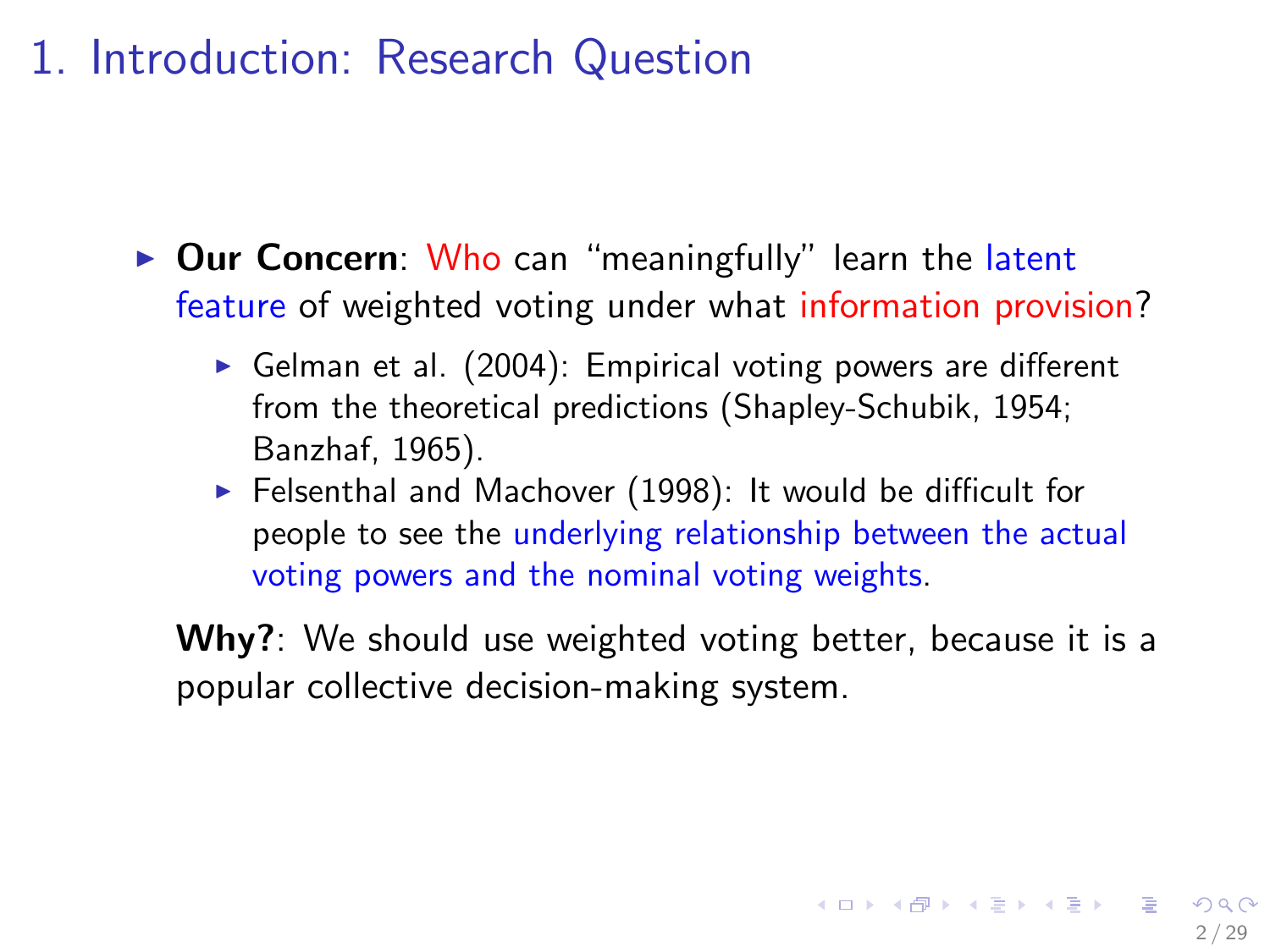## 1. Introduction: Research Question

- $\triangleright$  Our Concern: Who can "meaningfully" learn the latent feature of weighted voting under what information provision?
	- Gelman et al.  $(2004)$ : Empirical voting powers are different from the theoretical predictions (Shapley-Schubik, 1954; Banzhaf, 1965).
	- $\blacktriangleright$  Felsenthal and Machover (1998): It would be difficult for people to see the underlying relationship between the actual voting powers and the nominal voting weights.

Why?: We should use weighted voting better, because it is a popular collective decision-making system.

2 / 29

 $\mathbf{E} = \mathbf{A} \oplus \mathbf{A} + \mathbf{A} \oplus \mathbf{A} + \mathbf{A} \oplus \mathbf{A} + \mathbf{A} \oplus \mathbf{A}$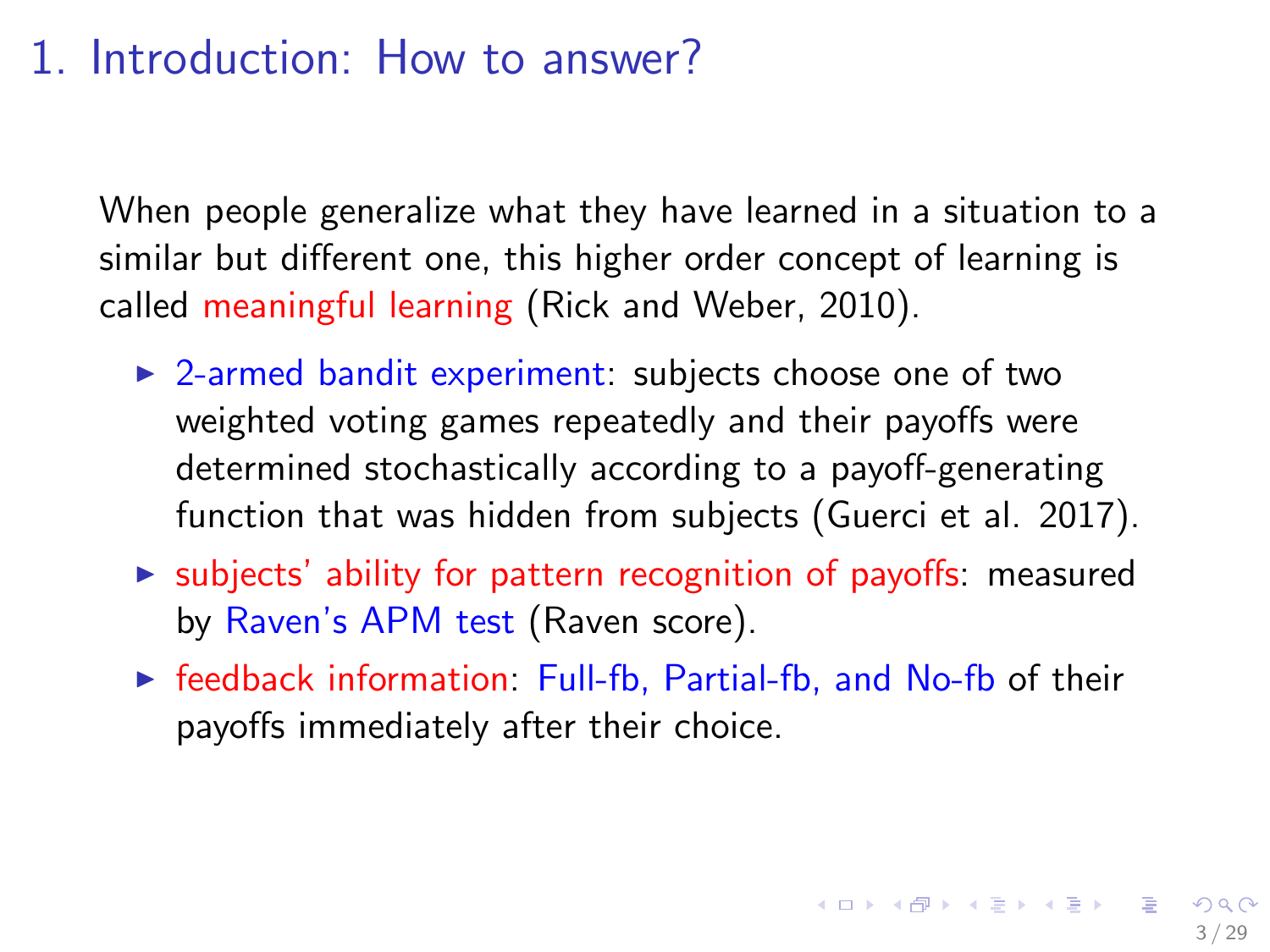## 1. Introduction: How to answer?

When people generalize what they have learned in a situation to a similar but different one, this higher order concept of learning is called meaningful learning (Rick and Weber, 2010).

- $\triangleright$  2-armed bandit experiment: subjects choose one of two weighted voting games repeatedly and their payoffs were determined stochastically according to a payoff-generating function that was hidden from subjects (Guerci et al. 2017).
- $\triangleright$  subjects' ability for pattern recognition of payoffs: measured by Raven's APM test (Raven score).
- $\triangleright$  feedback information: Full-fb, Partial-fb, and No-fb of their payoffs immediately after their choice.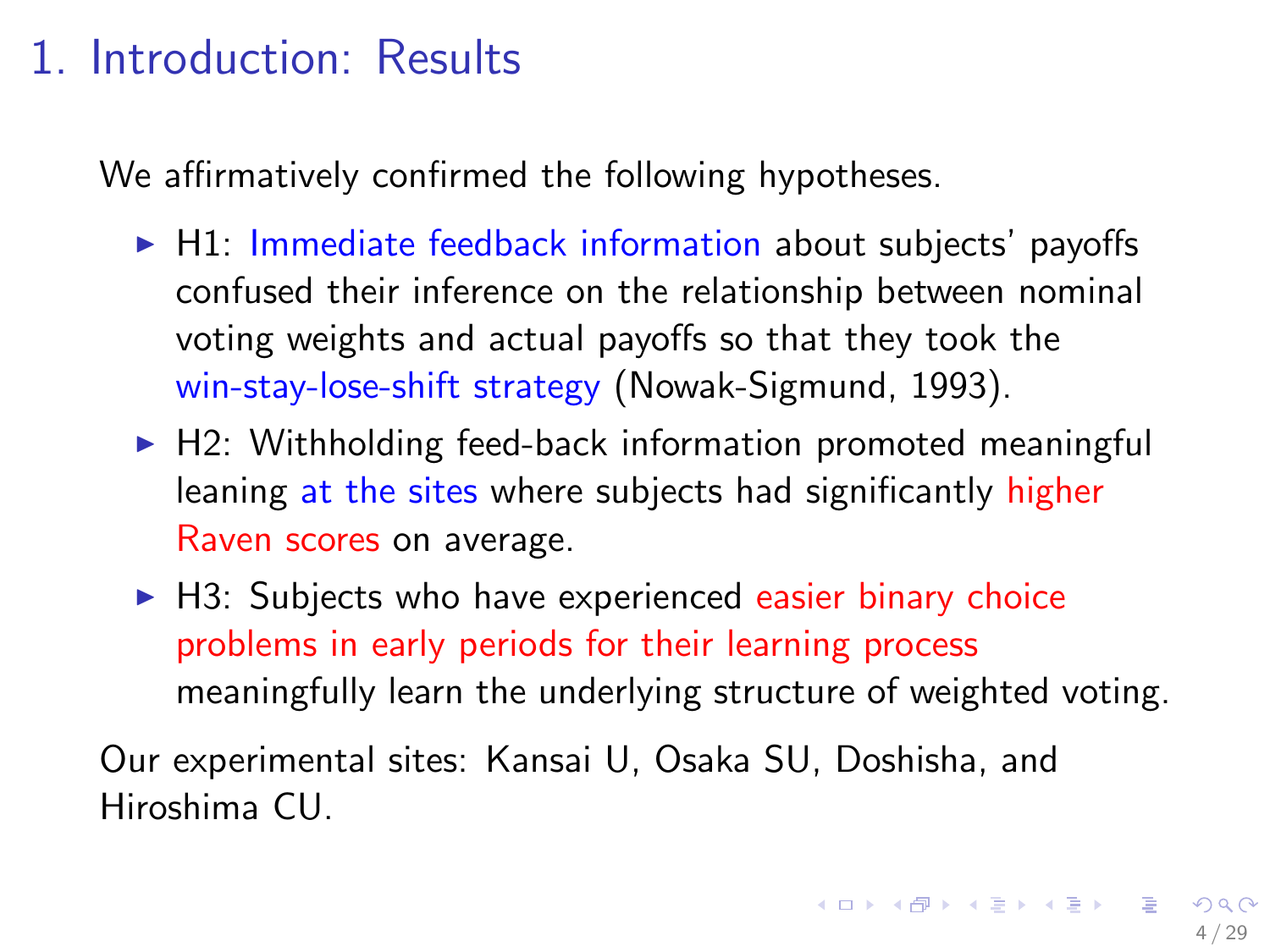# 1. Introduction: Results

We affirmatively confirmed the following hypotheses.

- $\blacktriangleright$  H1: Immediate feedback information about subjects' payoffs confused their inference on the relationship between nominal voting weights and actual payoffs so that they took the win-stay-lose-shift strategy (Nowak-Sigmund, 1993).
- $\blacktriangleright$  H2: Withholding feed-back information promoted meaningful leaning at the sites where subjects had significantly higher Raven scores on average.
- $\blacktriangleright$  H3: Subjects who have experienced easier binary choice problems in early periods for their learning process meaningfully learn the underlying structure of weighted voting.

Our experimental sites: Kansai U, Osaka SU, Doshisha, and Hiroshima CU.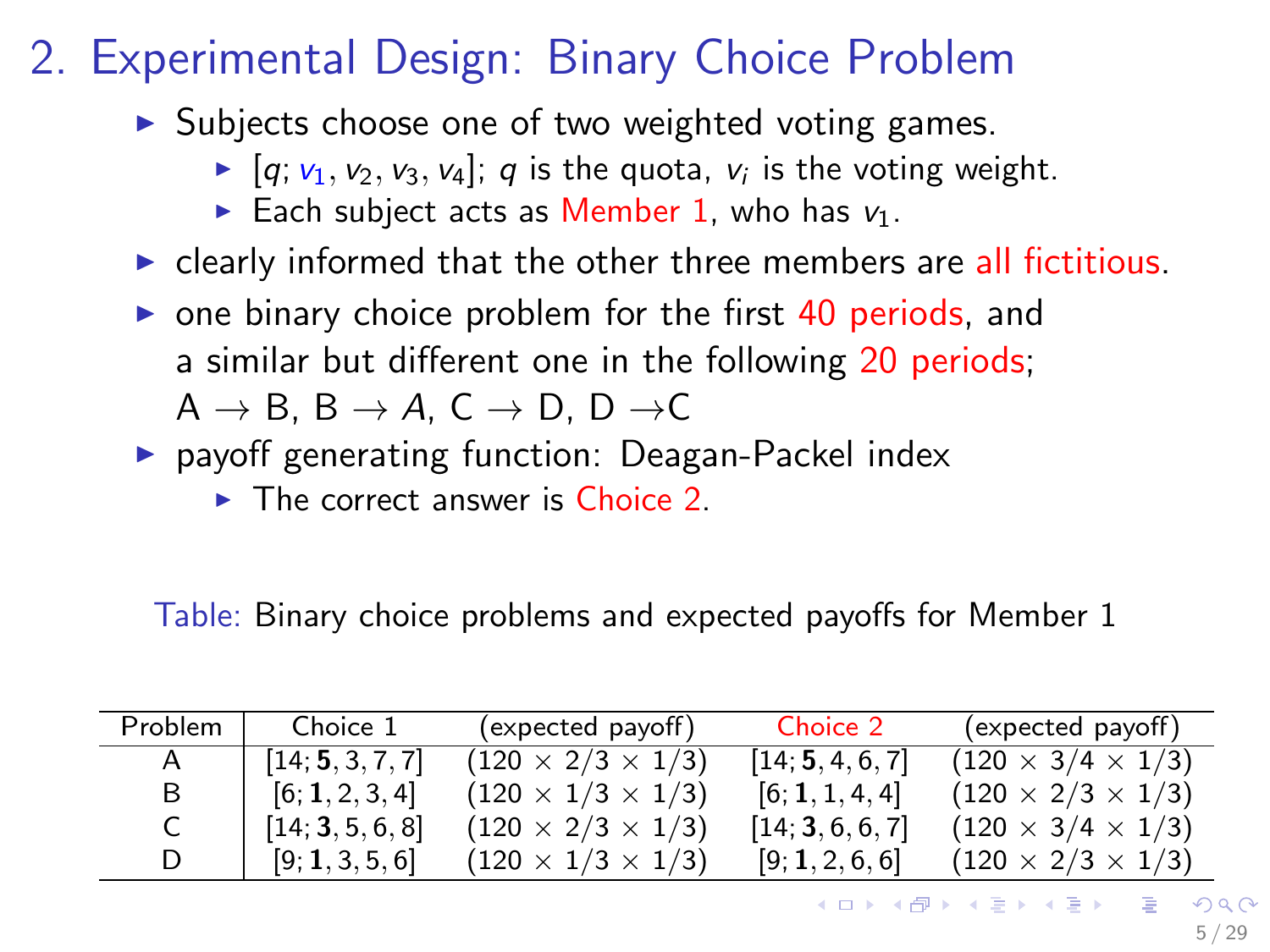# 2. Experimental Design: Binary Choice Problem

- $\triangleright$  Subjects choose one of two weighted voting games.
	- $\blacktriangleright$  [q;  $v_1, v_2, v_3, v_4$ ]; q is the quota,  $v_i$  is the voting weight.
	- Each subject acts as Member 1, who has  $v_1$ .
- $\triangleright$  clearly informed that the other three members are all fictitious.
- $\triangleright$  one binary choice problem for the first 40 periods, and a similar but different one in the following 20 periods;  $A \rightarrow B$ ,  $B \rightarrow A$ ,  $C \rightarrow D$ ,  $D \rightarrow C$
- **P** payoff generating function: Deagan-Packel index
	- $\triangleright$  The correct answer is Choice 2.

Table: Binary choice problems and expected payoffs for Member 1

| Problem | Choice 1         | (expected payoff)             | Choice 2         | (expected payoff)             |
|---------|------------------|-------------------------------|------------------|-------------------------------|
|         | [14; 5, 3, 7, 7] | $(120 \times 2/3 \times 1/3)$ | [14; 5, 4, 6, 7] | $(120 \times 3/4 \times 1/3)$ |
| В       | [6; 1, 2, 3, 4]  | $(120 \times 1/3 \times 1/3)$ | [6; 1, 1, 4, 4]  | $(120 \times 2/3 \times 1/3)$ |
|         | [14; 3, 5, 6, 8] | $(120 \times 2/3 \times 1/3)$ | [14; 3, 6, 6, 7] | $(120 \times 3/4 \times 1/3)$ |
|         | [9; 1, 3, 5, 6]  | $(120 \times 1/3 \times 1/3)$ | [9; 1, 2, 6, 6]  | $(120 \times 2/3 \times 1/3)$ |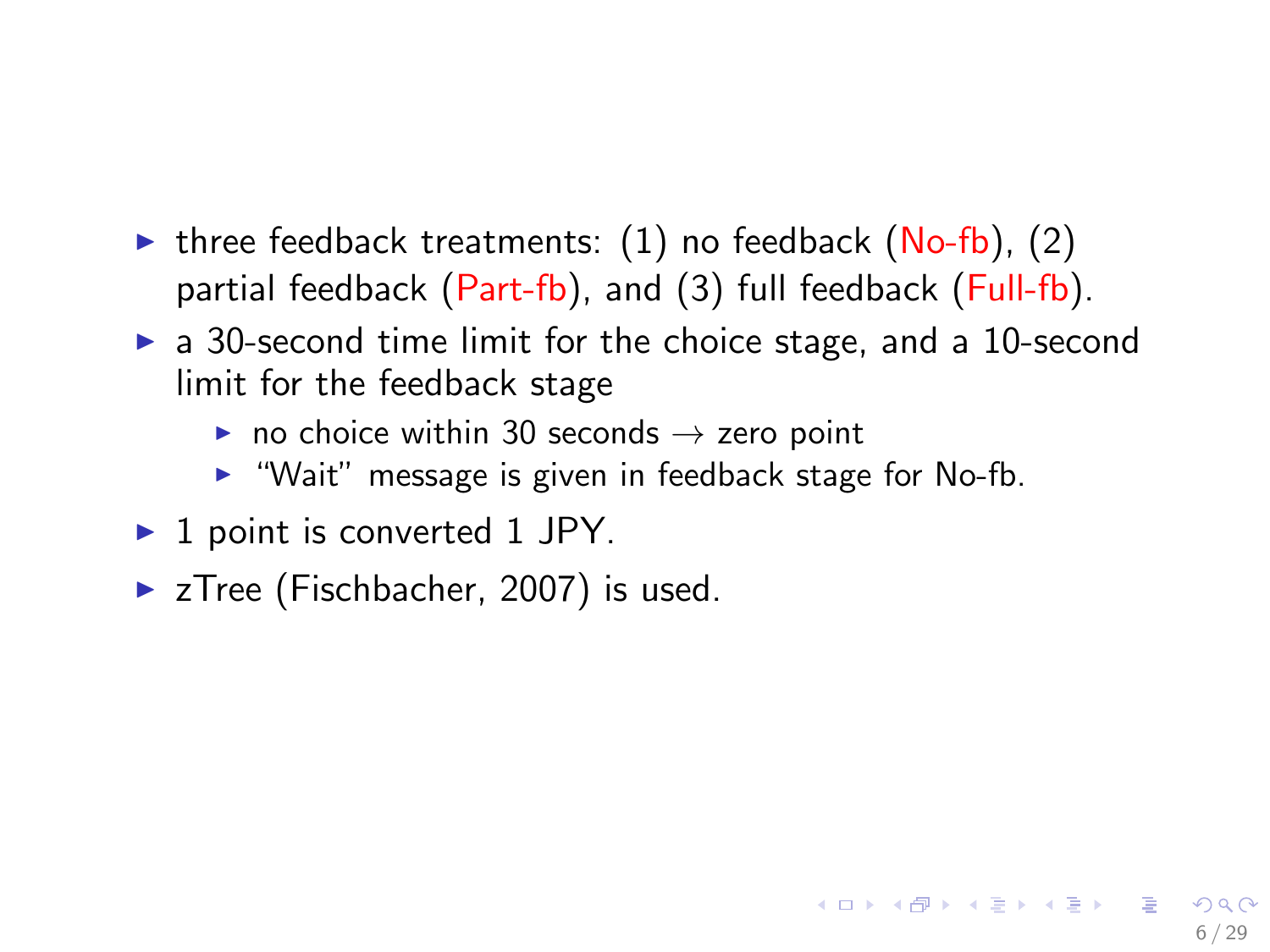- In three feedback treatments:  $(1)$  no feedback  $(No-fb)$ ,  $(2)$ partial feedback (Part-fb), and (3) full feedback (Full-fb).
- $\triangleright$  a 30-second time limit for the choice stage, and a 10-second limit for the feedback stage
	- $\triangleright$  no choice within 30 seconds  $\rightarrow$  zero point
	- $\blacktriangleright$  "Wait" message is given in feedback stage for No-fb.

6 / 29

イロト 不優 ト 不思 ト 不思 トー 温

- $\blacktriangleright$  1 point is converted 1 JPY.
- $\blacktriangleright$  zTree (Fischbacher, 2007) is used.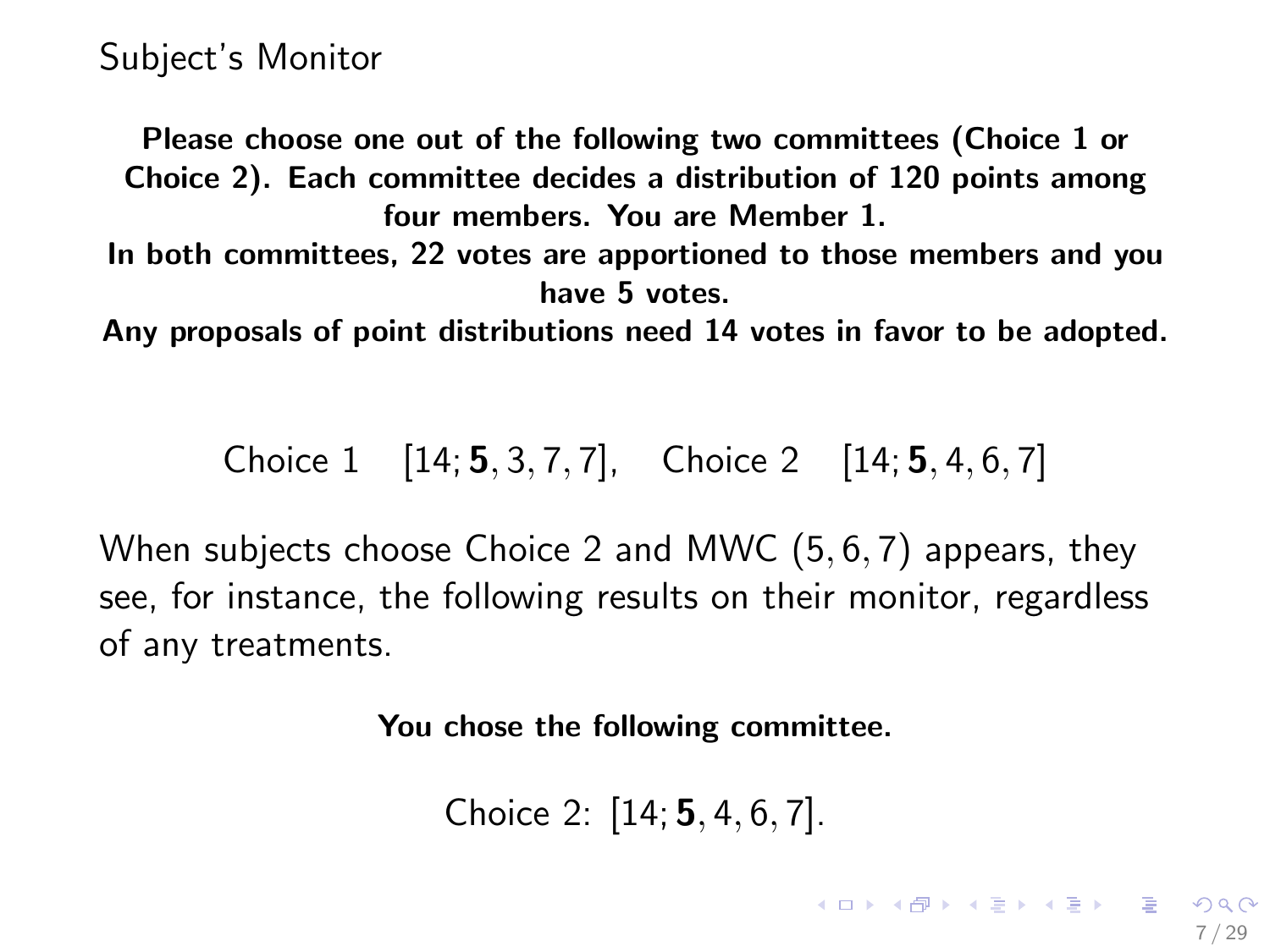Please choose one out of the following two committees (Choice 1 or Choice 2). Each committee decides a distribution of 120 points among four members. You are Member 1.

In both committees, 22 votes are apportioned to those members and you have 5 votes.

Any proposals of point distributions need 14 votes in favor to be adopted.

Choice 1 [14; **5**, 3, 7, 7], Choice 2 [14; **5**, 4, 6, 7]

When subjects choose Choice 2 and MWC (5, 6, 7) appears, they see, for instance, the following results on their monitor, regardless of any treatments.

You chose the following committee.

Choice 2: [14; 5, 4, 6, 7].

KID KAR KERKER E 1990 7 / 29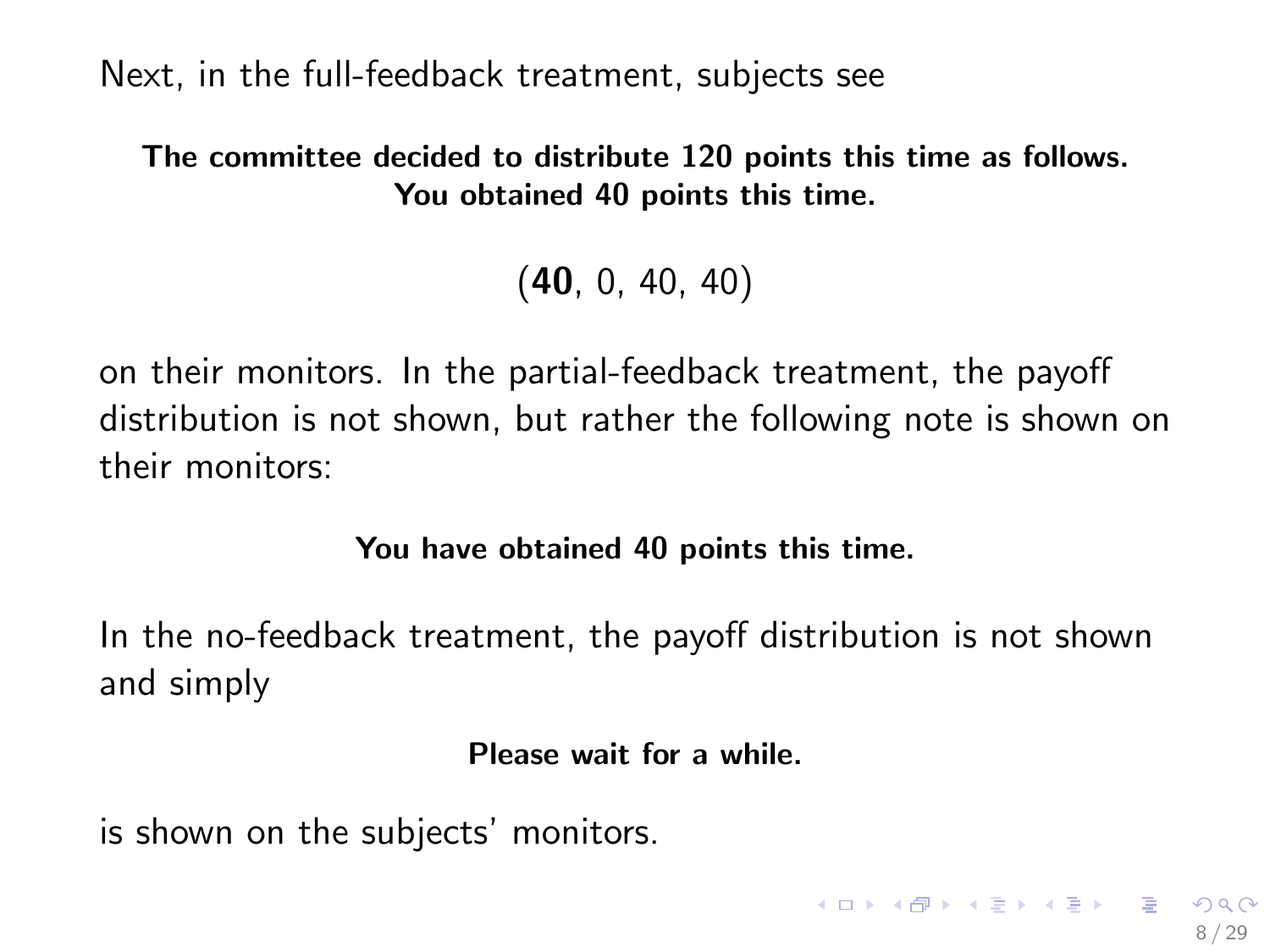Next, in the full-feedback treatment, subjects see

#### The committee decided to distribute 120 points this time as follows. You obtained 40 points this time.

(40, 0, 40, 40)

on their monitors. In the partial-feedback treatment, the payoff distribution is not shown, but rather the following note is shown on their monitors:

#### You have obtained 40 points this time.

In the no-feedback treatment, the payoff distribution is not shown and simply

#### Please wait for a while.

8 / 29

**KORK EX KEY A BY A GAA** 

is shown on the subjects' monitors.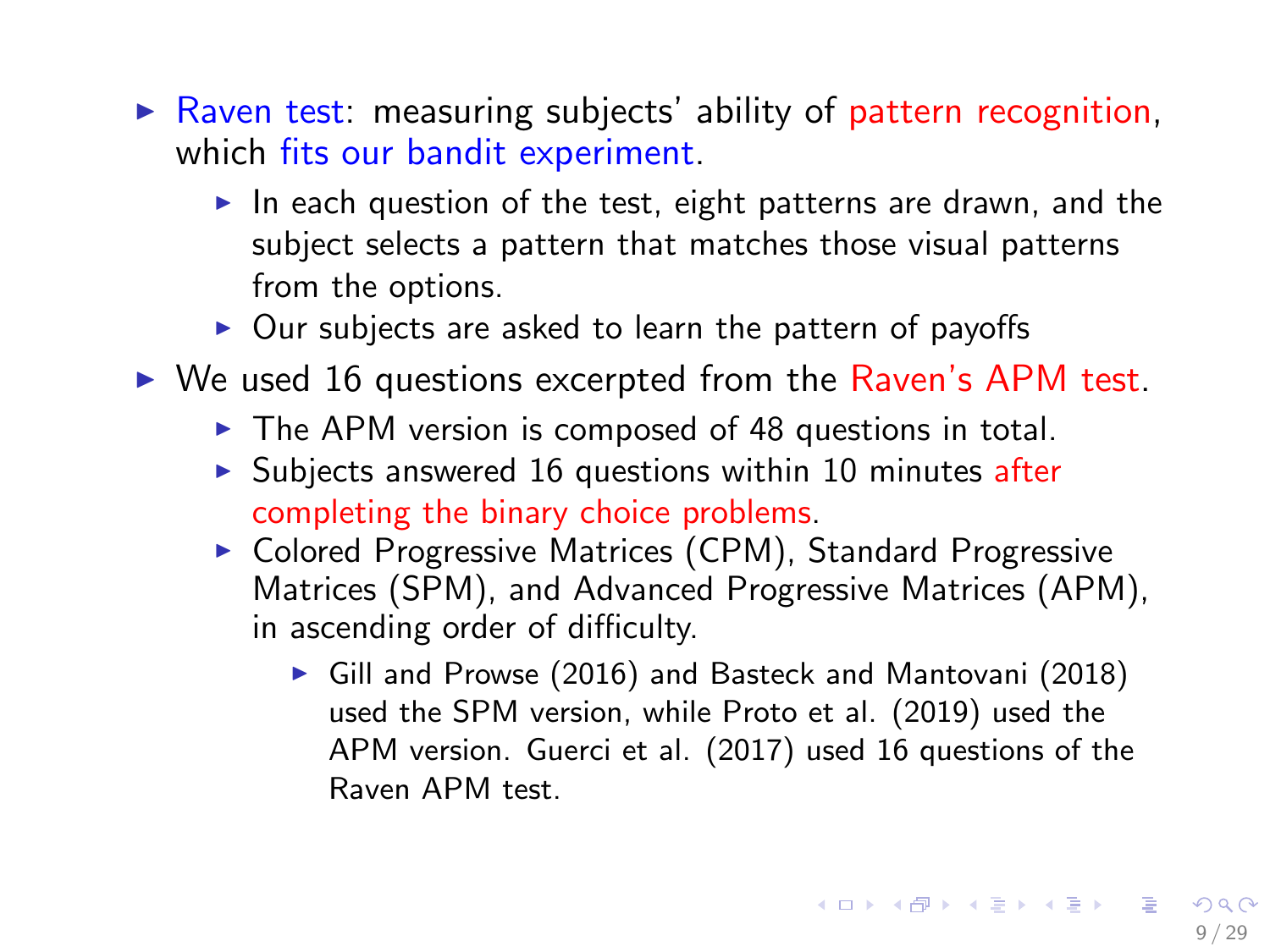- $\triangleright$  Raven test: measuring subjects' ability of pattern recognition, which fits our bandit experiment.
	- In each question of the test, eight patterns are drawn, and the subject selects a pattern that matches those visual patterns from the options.
	- $\triangleright$  Our subjects are asked to learn the pattern of payoffs
- $\triangleright$  We used 16 questions excerpted from the Raven's APM test.
	- $\triangleright$  The APM version is composed of 48 questions in total.
	- $\triangleright$  Subjects answered 16 questions within 10 minutes after completing the binary choice problems.
	- $\triangleright$  Colored Progressive Matrices (CPM), Standard Progressive Matrices (SPM), and Advanced Progressive Matrices (APM), in ascending order of difficulty.
		- Gill and Prowse (2016) and Basteck and Mantovani (2018) used the SPM version, while Proto et al. (2019) used the APM version. Guerci et al. (2017) used 16 questions of the Raven APM test.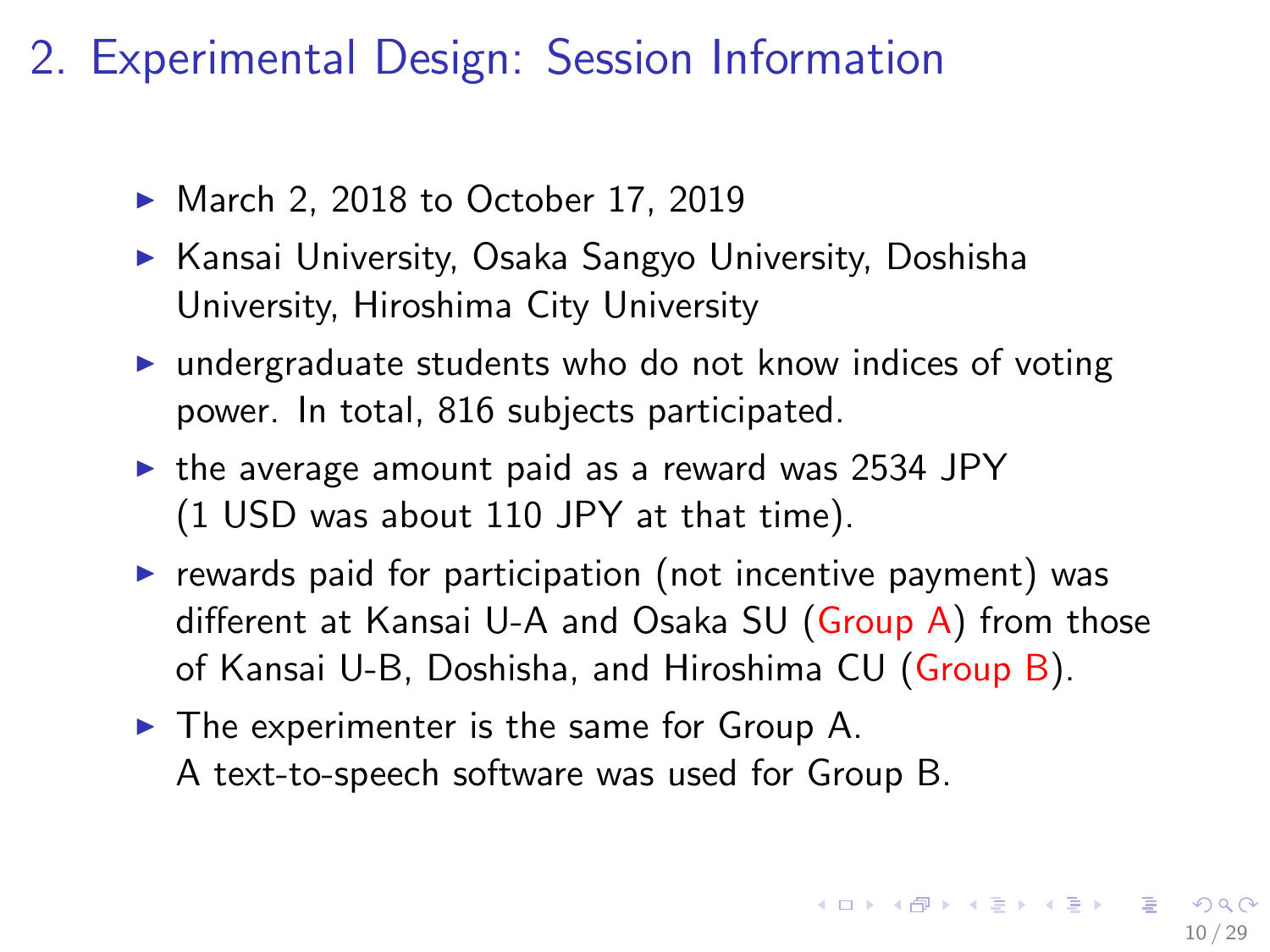# 2. Experimental Design: Session Information

- March 2, 2018 to October 17, 2019
- $\triangleright$  Kansai University, Osaka Sangyo University, Doshisha University, Hiroshima City University
- $\triangleright$  undergraduate students who do not know indices of voting power. In total, 816 subjects participated.
- $\triangleright$  the average amount paid as a reward was 2534 JPY (1 USD was about 110 JPY at that time).
- $\triangleright$  rewards paid for participation (not incentive payment) was different at Kansai U-A and Osaka SU (Group A) from those of Kansai U-B, Doshisha, and Hiroshima CU (Group B).
- $\blacktriangleright$  The experimenter is the same for Group A. A text-to-speech software was used for Group B.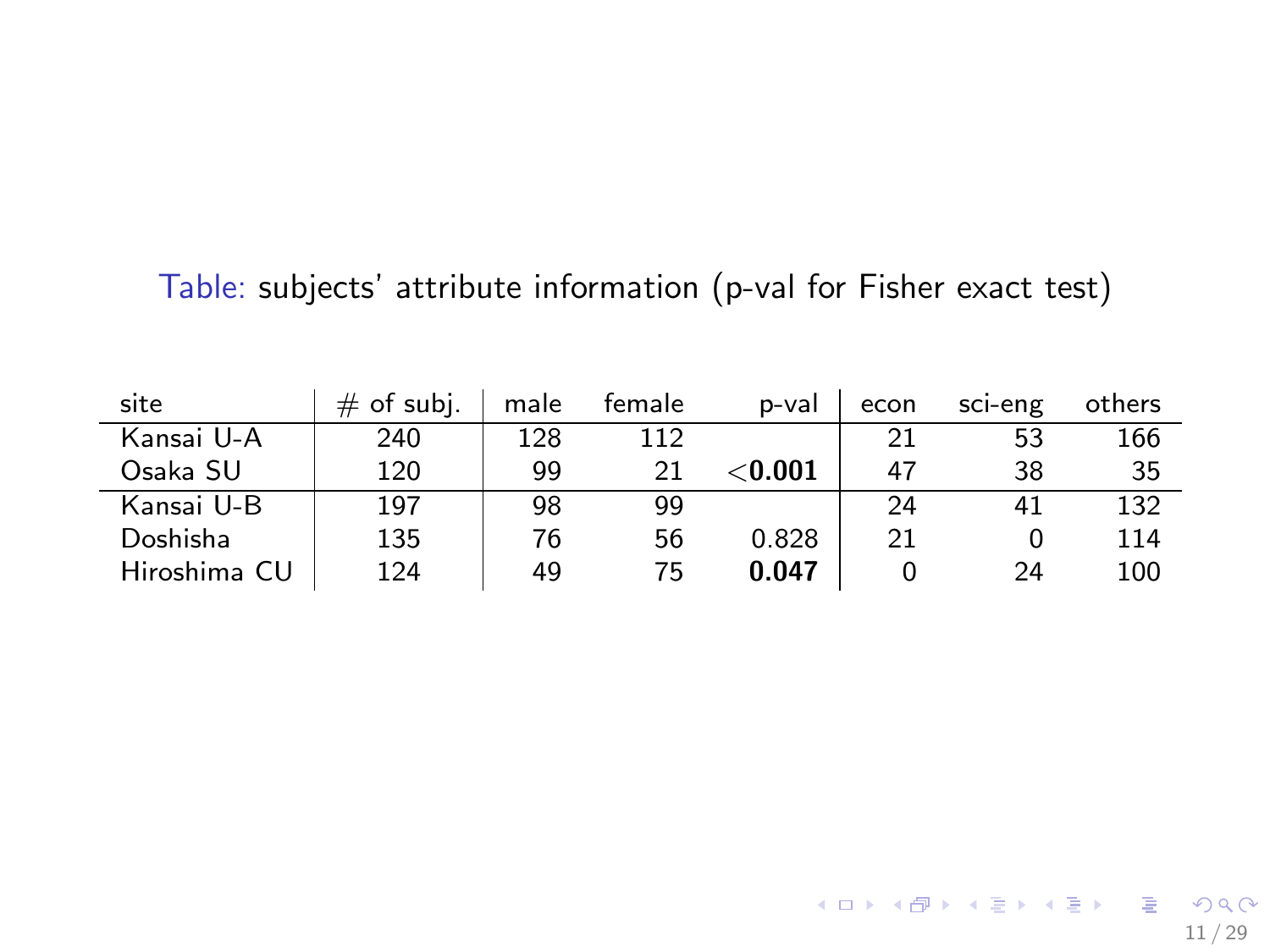#### Table: subjects' attribute information (p-val for Fisher exact test)

| site         | of subj.<br># | male | female | p-val          | econ | sci-eng | others |
|--------------|---------------|------|--------|----------------|------|---------|--------|
| Kansai U-A   | 240           | 128  | 112    |                | 21   | 53      | 166    |
| Osaka SU     | 120           | 99   | 21     | $<$ 0.001 $\,$ | 47   | 38      | 35     |
| Kansai U-B   | 197           | 98   | 99     |                | 24   | 41      | 132    |
| Doshisha     | 135           | 76   | 56     | 0.828          | 21   |         | 114    |
| Hiroshima CU | 124           | 49   | 75     | 0.047          |      | 24      | 100    |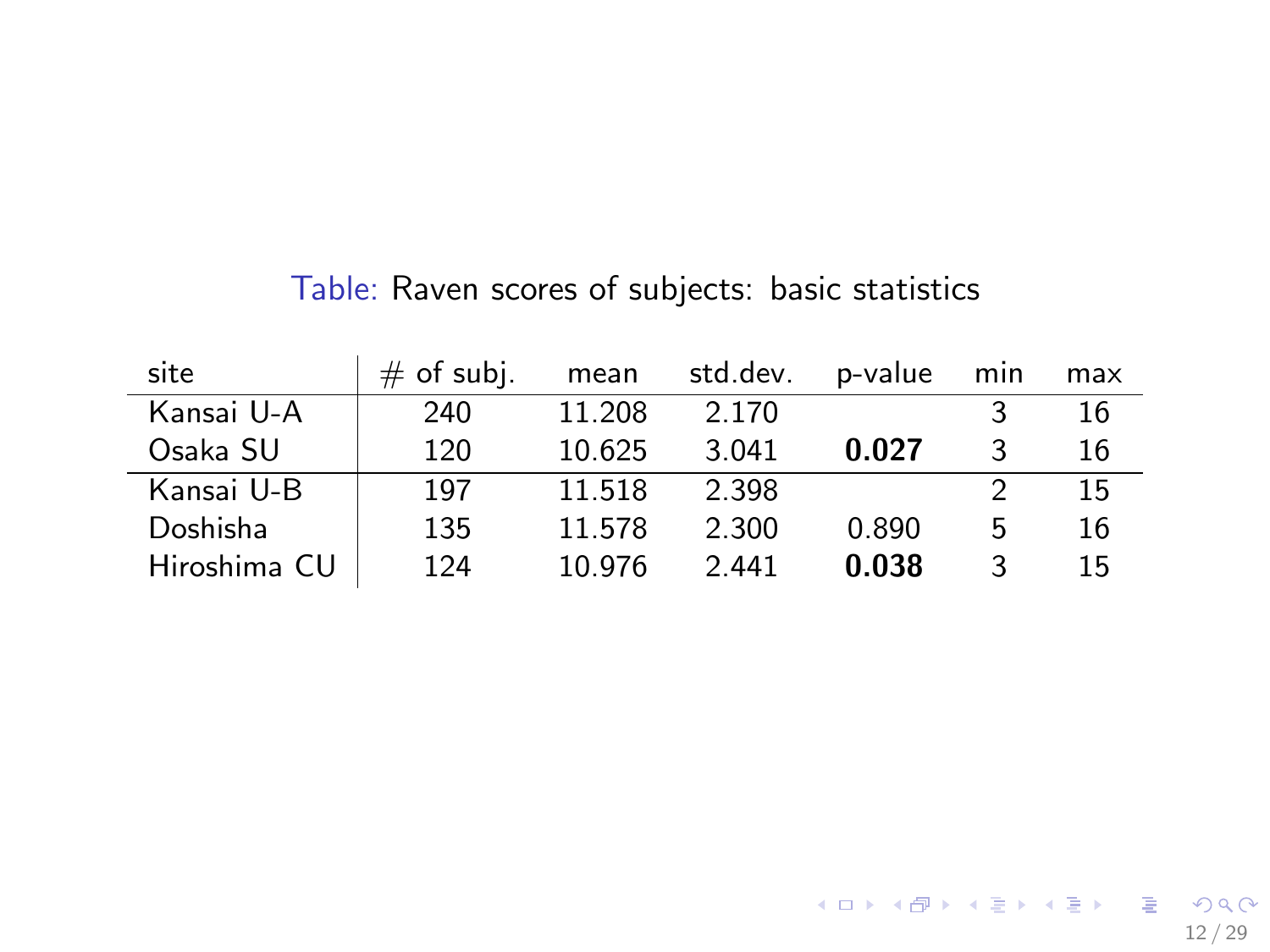| site         | $#$ of subj. | mean   | std.dev. | p-value | min | max |
|--------------|--------------|--------|----------|---------|-----|-----|
| Kansai U-A   | 240          | 11.208 | 2.170    |         |     | 16  |
| Osaka SU     | 120          | 10.625 | 3.041    | 0.027   |     | 16  |
| Kansai U-B   | 197          | 11.518 | 2.398    |         |     | 15  |
| Doshisha     | 135          | 11.578 | 2.300    | 0.890   | 5   | 16  |
| Hiroshima CU | 124          | 10.976 | 2.441    | 0.038   | 3   | 15  |

<span id="page-11-0"></span>Table: Raven scores of subjects: basic statistics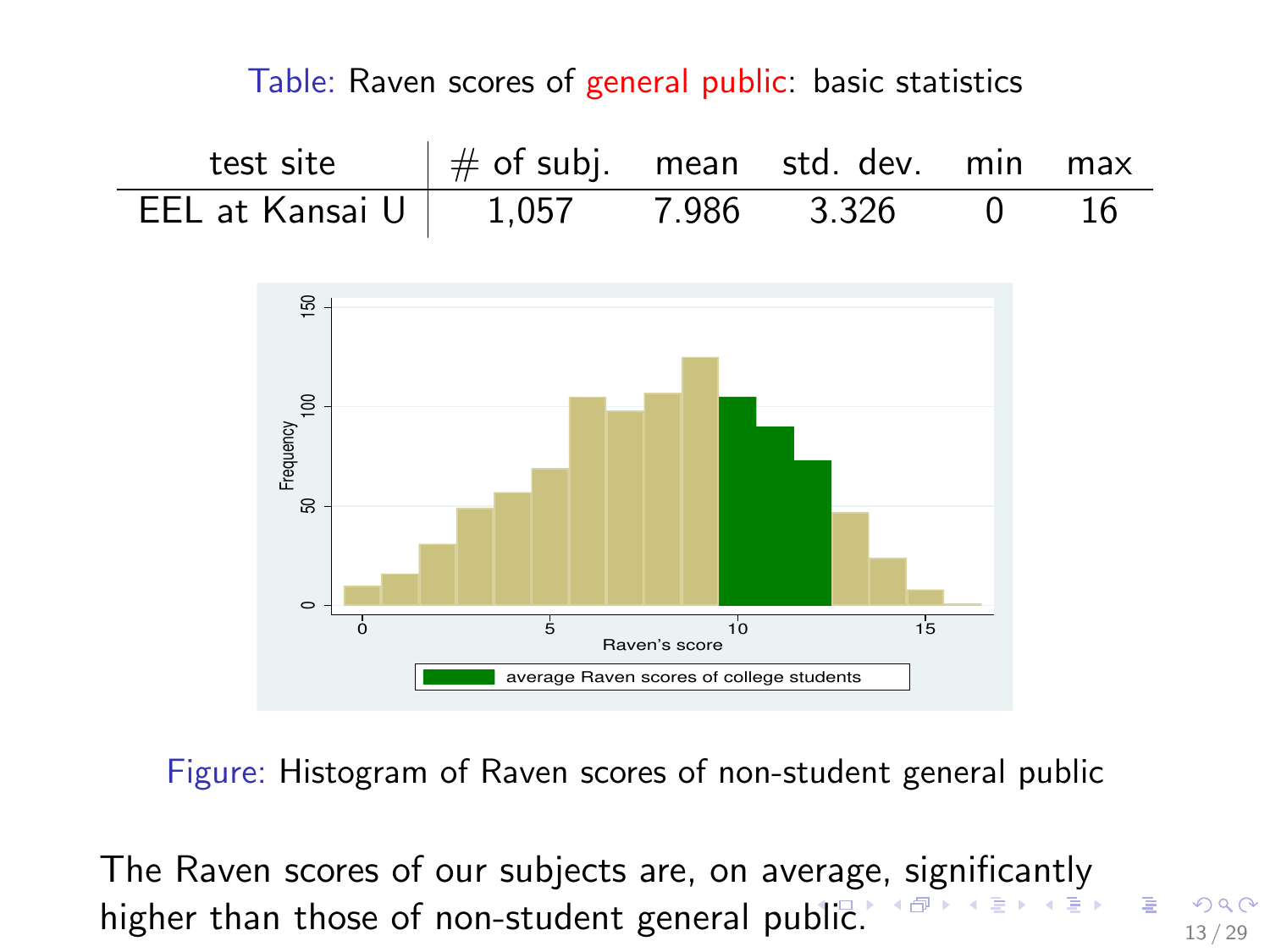#### Table: Raven scores of general public: basic statistics

<span id="page-12-0"></span>test site  $\#$  of subj. mean std. dev. min max EEL at Kansai U 1,057 7.986 3.326 0 16



Figure: Histogram of Raven scores of non-student general public

The Raven scores of our subjects are, on average[,](#page-11-0) [sig](#page-12-0)[n](#page-13-0)[ifi](#page-0-0)[ca](#page-28-0)[ntl](#page-0-0)[y](#page-28-0) higher than those of non-student general pu[bli](#page-11-0)c[.](#page-13-0)  $\mathbb{R}^3 \times \mathbb{R}^3 \times \mathbb{R}^3 \times \mathbb{R}^3$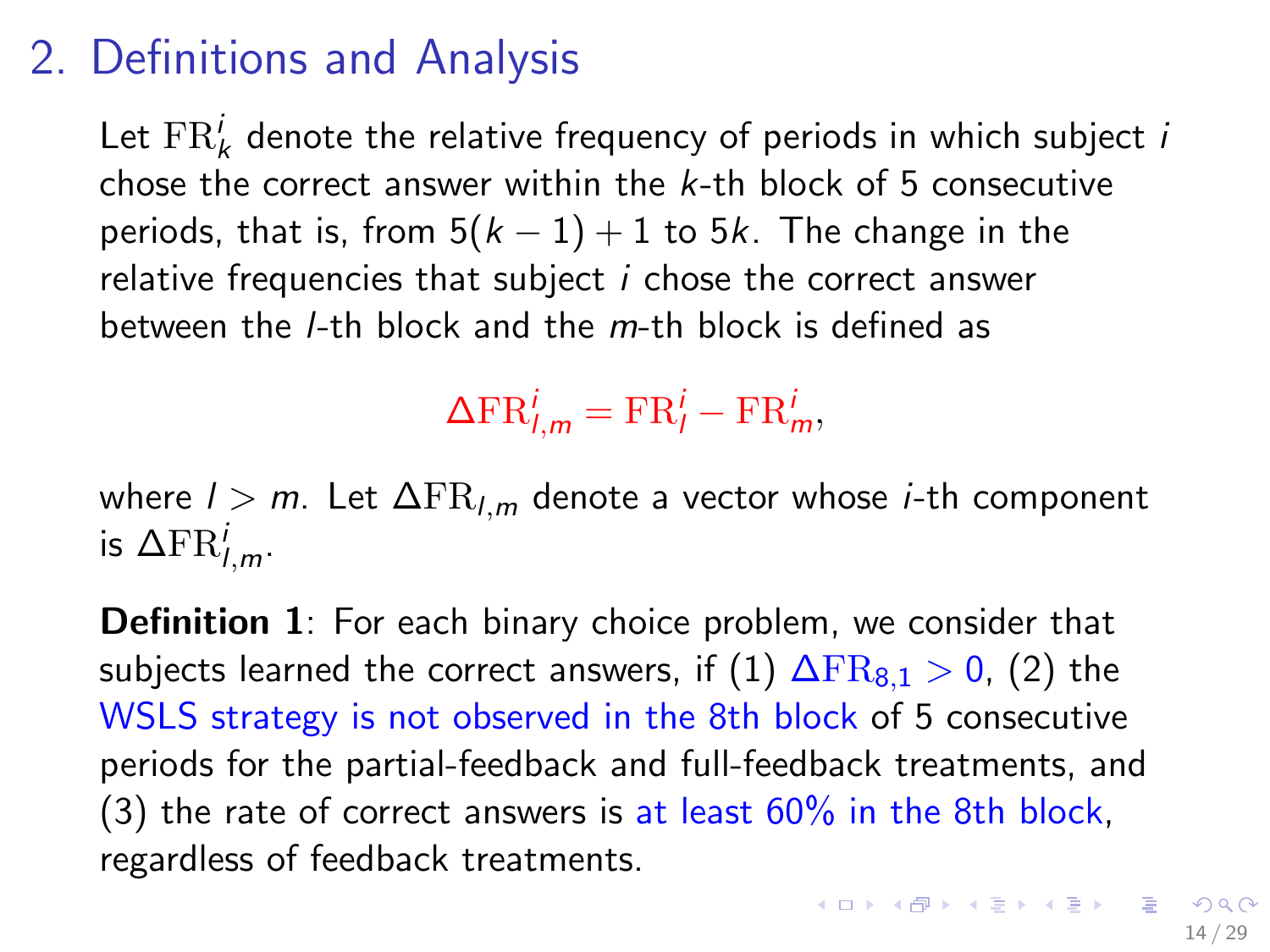# <span id="page-13-0"></span>2. Definitions and Analysis

Let  $\text{FR}_k^i$  denote the relative frequency of periods in which subject  $i$ chose the correct answer within the k-th block of 5 consecutive periods, that is, from  $5(k-1)+1$  to  $5k$ . The change in the relative frequencies that subject i chose the correct answer between the  $l$ -th block and the  $m$ -th block is defined as

 $\Delta \text{FR}_{l,m}^i = \text{FR}_{l}^i - \text{FR}_{m}^i,$ 

where  $l > m$ . Let  $\Delta FR_{l,m}$  denote a vector whose *i*-th component is  $\Delta \text{FR}^i_{l,m}$ .

**Definition 1**: For each binary choice problem, we consider that subjects learned the correct answers, if (1)  $\Delta FR_{8,1} > 0$ , (2) the WSLS strategy is not observed in the 8th block of 5 consecutive periods for the partial-feedback and full-feedback treatments, and (3) the rate of correct answers is at least  $60\%$  in the 8th block, regardless of feedback treatments.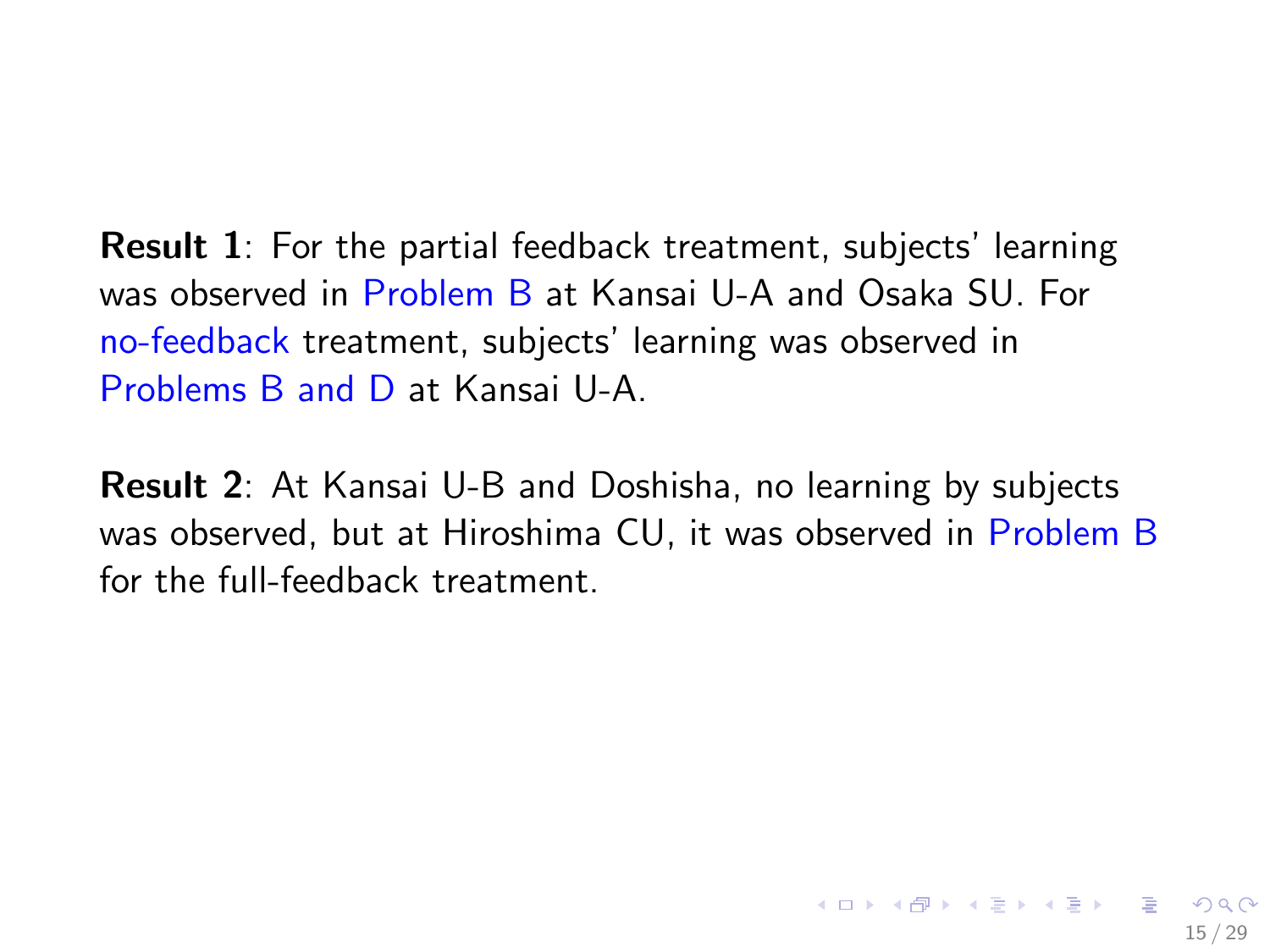Result 1: For the partial feedback treatment, subjects' learning was observed in Problem B at Kansai U-A and Osaka SU. For no-feedback treatment, subjects' learning was observed in Problems B and D at Kansai U-A.

Result 2: At Kansai U-B and Doshisha, no learning by subjects was observed, but at Hiroshima CU, it was observed in Problem B for the full-feedback treatment.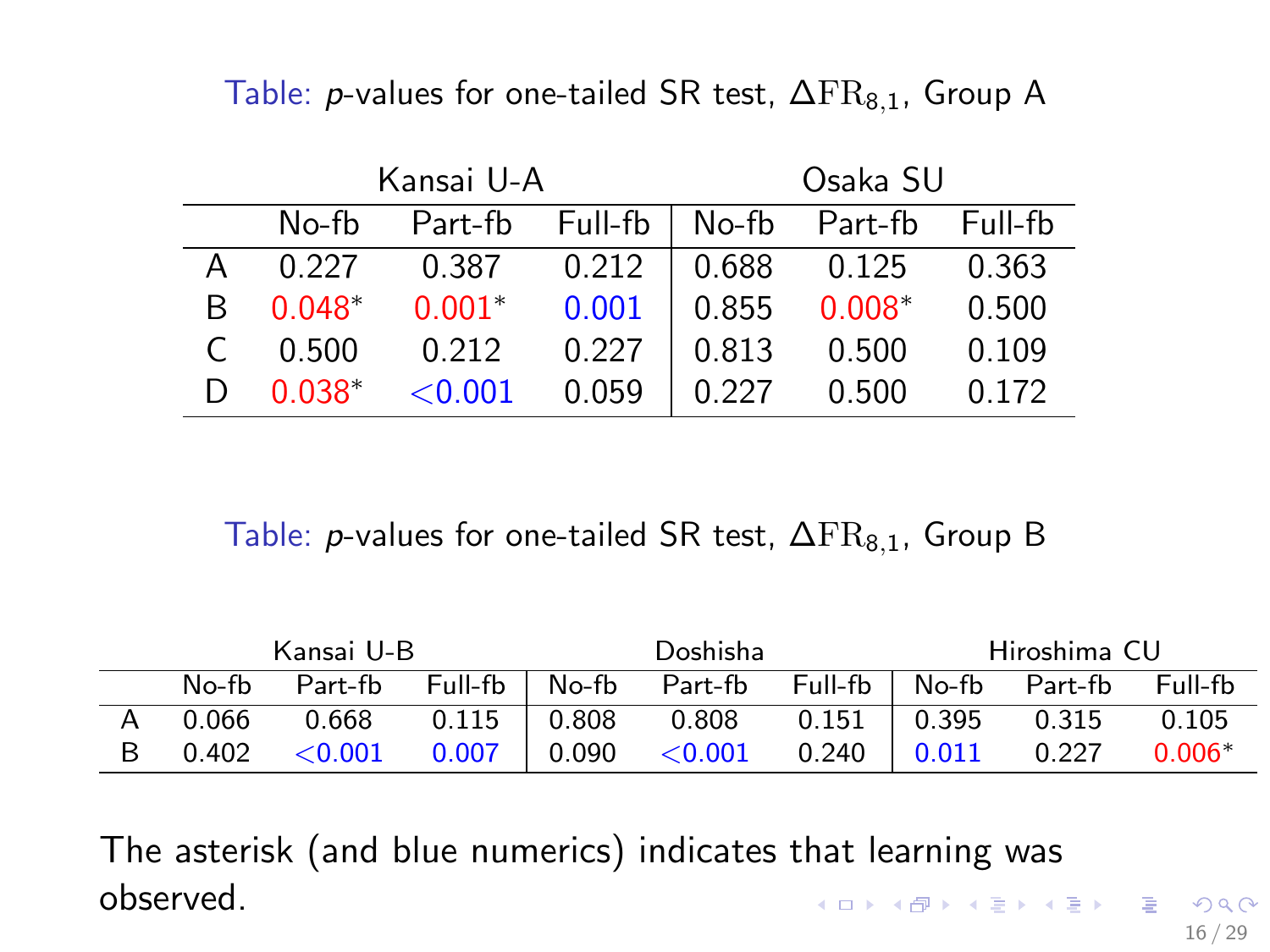Table: *p*-values for one-tailed SR test,  $\Delta FR_{8,1}$ , Group A

|   |          | Kansai U-A |         | Osaka SU |               |         |  |
|---|----------|------------|---------|----------|---------------|---------|--|
|   | No-fb    | Part-fb    | Full-fb |          | No-fb Part-fb | Full-fb |  |
|   | 0.227    | 0.387      | 0.212   | 0.688    | 0.125         | 0.363   |  |
| R | $0.048*$ | $0.001*$   | 0.001   | 0.855    | $0.008*$      | 0.500   |  |
|   | 0.500    | 0.212      | 0.227   | 0.813    | 0.500         | 0.109   |  |
|   | $0.038*$ | ${<}0.001$ | 0.059   | በ 227    | 0.500         | 0.172   |  |

Table: *p*-values for one-tailed SR test,  $\Delta FR_{8,1}$ , Group B

|         | Kansai U-B |                   |       | Doshisha  |         |       | Hiroshima CU |           |
|---------|------------|-------------------|-------|-----------|---------|-------|--------------|-----------|
| $No-fh$ | Part-fb    | $Full-fb$ $No-fb$ |       | Part-fb   | Full-fb | No-fb | Part-fb      | $Full-fh$ |
| 0.066   | 0.668      | $0.115$           | 0.808 | 0.808     | 0.151   | 0.395 | 0.315        | 0.105     |
| 0.402   | < 0.001    | 0.007             | 0.090 | $<$ 0.001 | 0.240   | 0.011 | 0.227        | $0.006*$  |

The asterisk (and blue numerics) indicates that learning was observed. K ロ ▶ K @ ▶ K 할 ▶ K 할 ▶ 이 할 → 9 Q Q →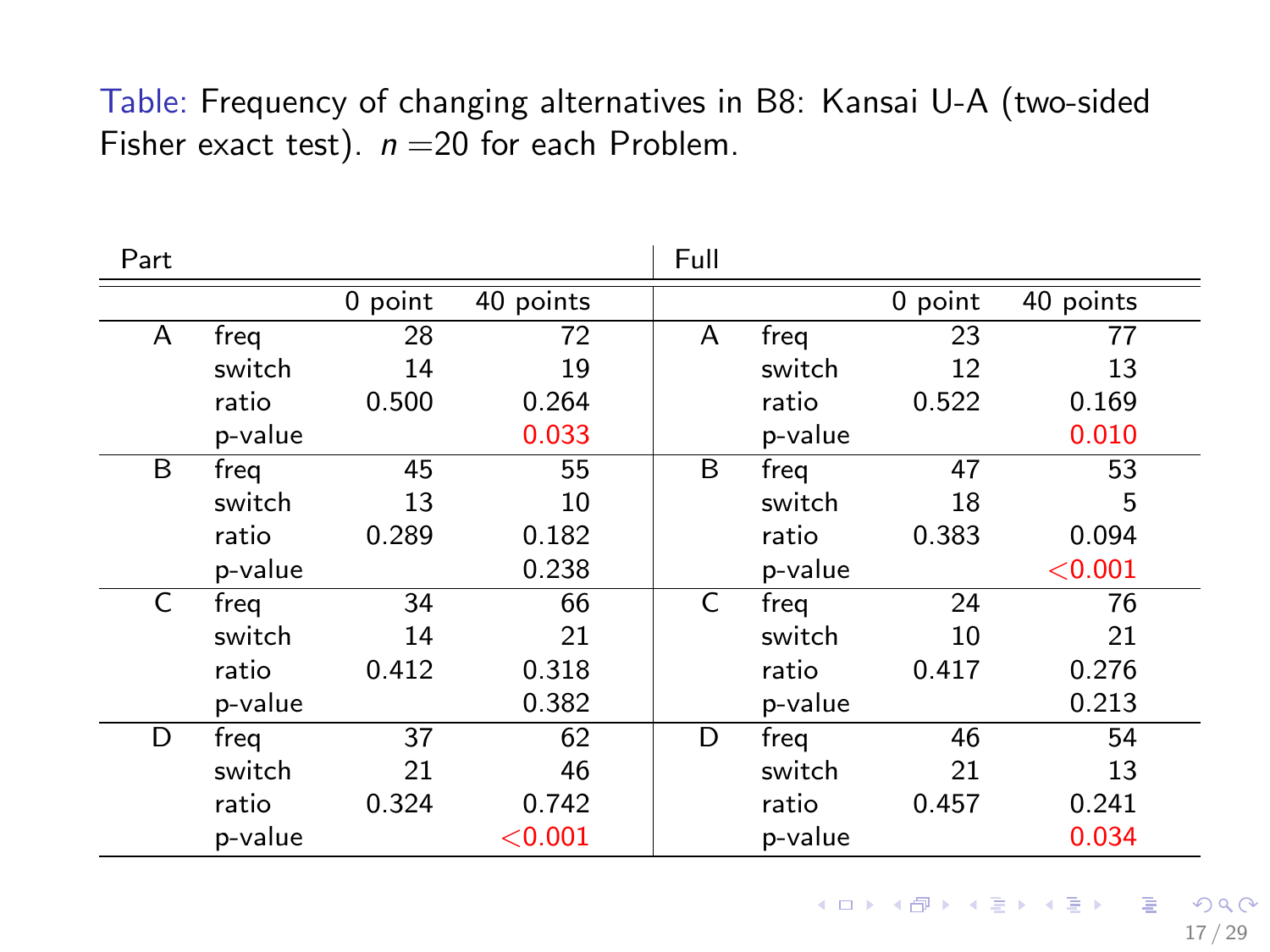#### Table: Frequency of changing alternatives in B8: Kansai U-A (two-sided Fisher exact test).  $n = 20$  for each Problem.

| Part |         |         |           | Full |         |         |           |
|------|---------|---------|-----------|------|---------|---------|-----------|
|      |         | 0 point | 40 points |      |         | 0 point | 40 points |
| A    | freq    | 28      | 72        | A    | freg    | 23      | 77        |
|      | switch  | 14      | 19        |      | switch  | 12      | 13        |
|      | ratio   | 0.500   | 0.264     |      | ratio   | 0.522   | 0.169     |
|      | p-value |         | 0.033     |      | p-value |         | 0.010     |
| B    | freq    | 45      | 55        | B    | freg    | 47      | 53        |
|      | switch  | 13      | 10        |      | switch  | 18      | 5         |
|      | ratio   | 0.289   | 0.182     |      | ratio   | 0.383   | 0.094     |
|      | p-value |         | 0.238     |      | p-value |         | < 0.001   |
| C    | freg    | 34      | 66        | C    | freg    | 24      | 76        |
|      | switch  | 14      | 21        |      | switch  | 10      | 21        |
|      | ratio   | 0.412   | 0.318     |      | ratio   | 0.417   | 0.276     |
|      | p-value |         | 0.382     |      | p-value |         | 0.213     |
| D    | freg    | 37      | 62        | D    | freg    | 46      | 54        |
|      | switch  | 21      | 46        |      | switch  | 21      | 13        |
|      | ratio   | 0.324   | 0.742     |      | ratio   | 0.457   | 0.241     |
|      | p-value |         | < 0.001   |      | p-value |         | 0.034     |

17 / 29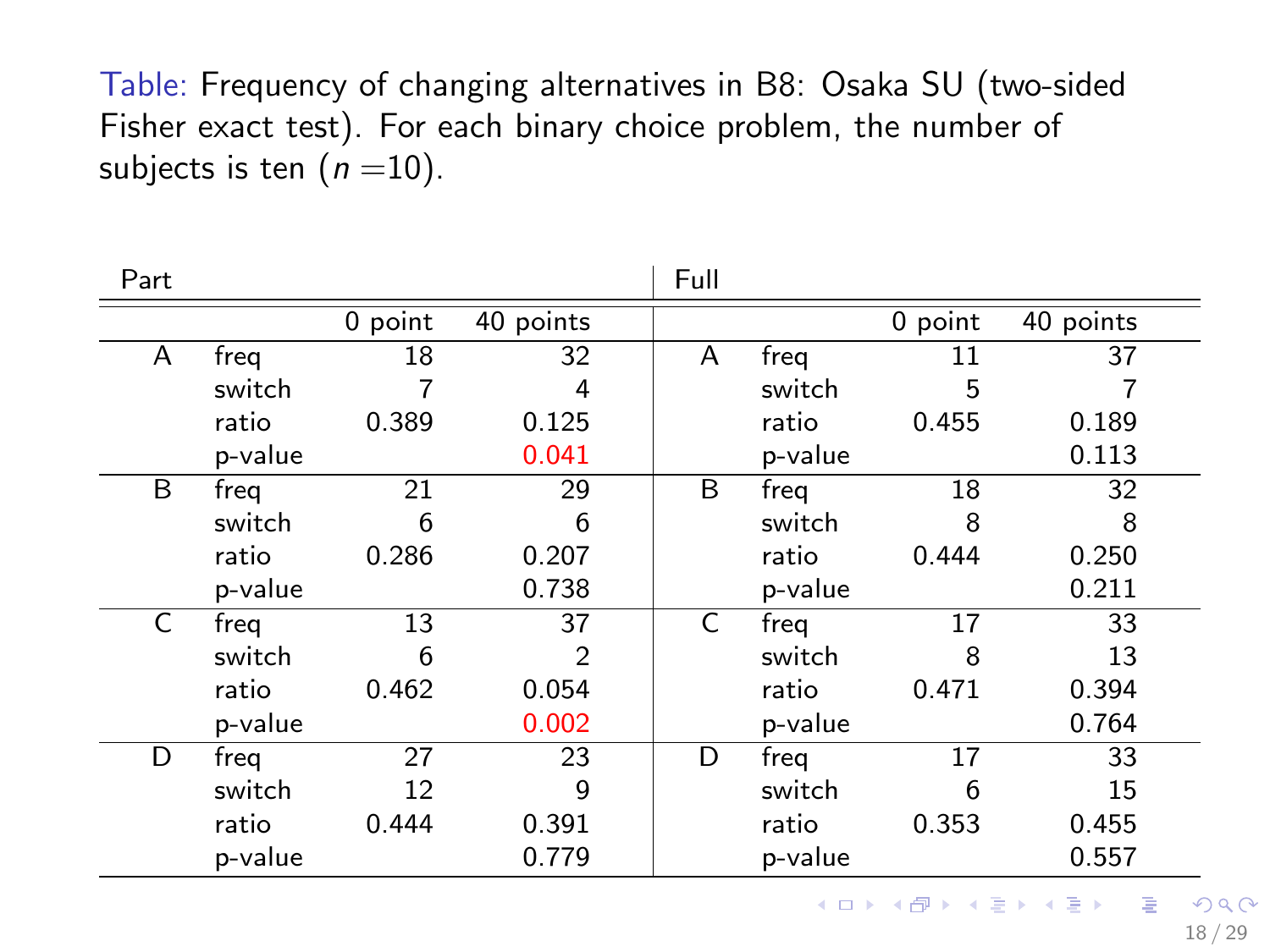Table: Frequency of changing alternatives in B8: Osaka SU (two-sided Fisher exact test). For each binary choice problem, the number of subjects is ten  $(n=10)$ .

| Part |         |           |                | Full |         |           |           |
|------|---------|-----------|----------------|------|---------|-----------|-----------|
|      |         | $0$ point | 40 points      |      |         | $0$ point | 40 points |
| A    | freg    | 18        | 32             | A    | freg    | 11        | 37        |
|      | switch  |           | 4              |      | switch  | 5         |           |
|      | ratio   | 0.389     | 0.125          |      | ratio   | 0.455     | 0.189     |
|      | p-value |           | 0.041          |      | p-value |           | 0.113     |
| B    | freg    | 21        | 29             | B    | freg    | 18        | 32        |
|      | switch  | 6         | 6              |      | switch  | 8         | 8         |
|      | ratio   | 0.286     | 0.207          |      | ratio   | 0.444     | 0.250     |
|      | p-value |           | 0.738          |      | p-value |           | 0.211     |
| C    | freq    | 13        | 37             | C    | freg    | 17        | 33        |
|      | switch  | 6         | $\overline{2}$ |      | switch  | 8         | 13        |
|      | ratio   | 0.462     | 0.054          |      | ratio   | 0.471     | 0.394     |
|      | p-value |           | 0.002          |      | p-value |           | 0.764     |
| D    | freq    | 27        | 23             | D    | freq    | 17        | 33        |
|      | switch  | 12        | 9              |      | switch  | 6         | 15        |
|      | ratio   | 0.444     | 0.391          |      | ratio   | 0.353     | 0.455     |
|      | p-value |           | 0.779          |      | p-value |           | 0.557     |

18 / 29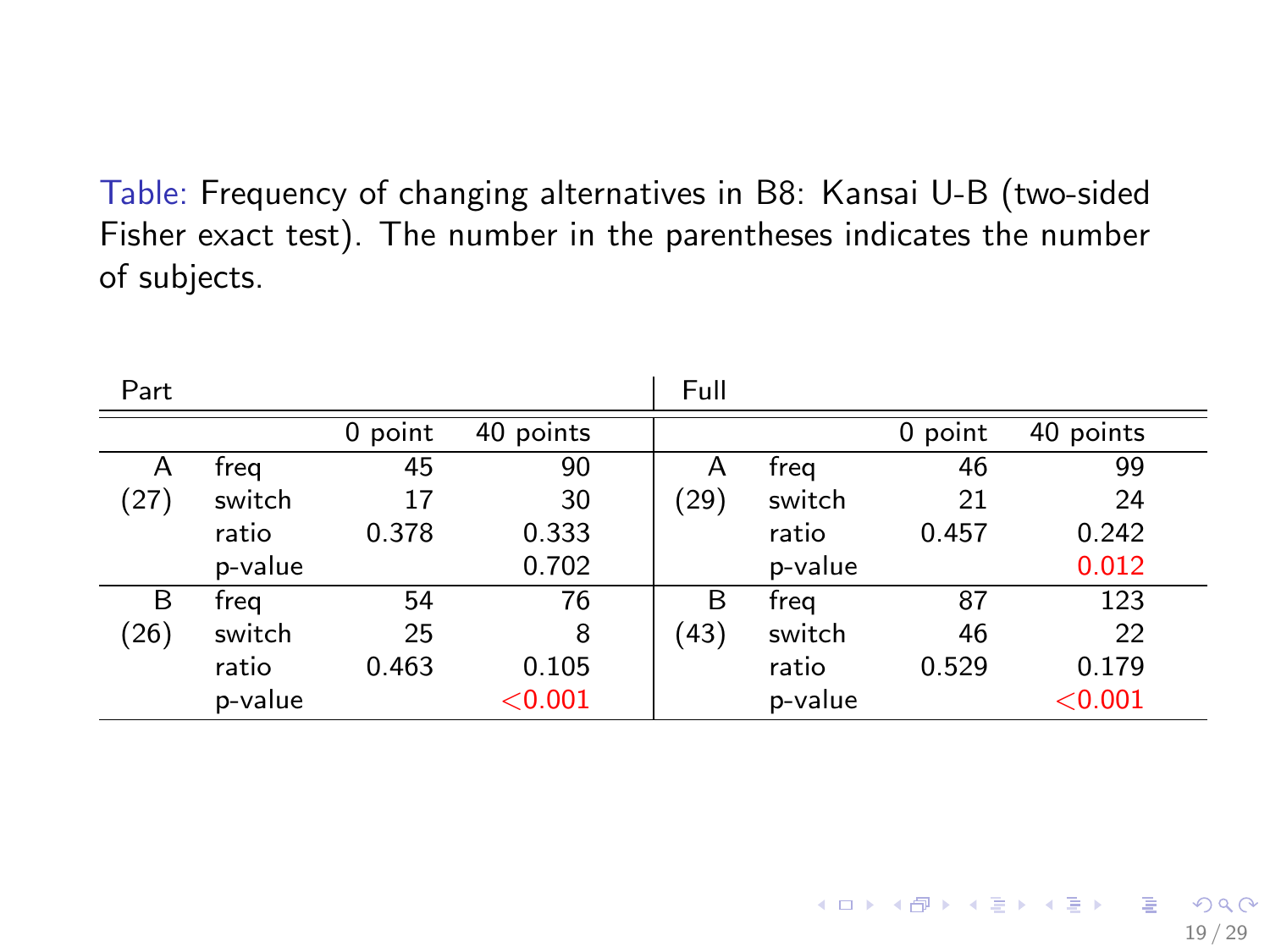Table: Frequency of changing alternatives in B8: Kansai U-B (two-sided Fisher exact test). The number in the parentheses indicates the number of subjects.

| Part |         |         |           | Full |         |         |           |
|------|---------|---------|-----------|------|---------|---------|-----------|
|      |         | 0 point | 40 points |      |         | 0 point | 40 points |
| A    | freg    | 45      | 90        | Α    | freg    | 46      | 99        |
| (27) | switch  | 17      | 30        | (29) | switch  | 21      | 24        |
|      | ratio   | 0.378   | 0.333     |      | ratio   | 0.457   | 0.242     |
|      | p-value |         | 0.702     |      | p-value |         | 0.012     |
| B    | freg    | 54      | 76        | B    | freg    | 87      | 123       |
| (26) | switch  | 25      | 8         | (43) | switch  | 46      | 22        |
|      | ratio   | 0.463   | 0.105     |      | ratio   | 0.529   | 0.179     |
|      | p-value |         | < 0.001   |      | p-value |         | < 0.001   |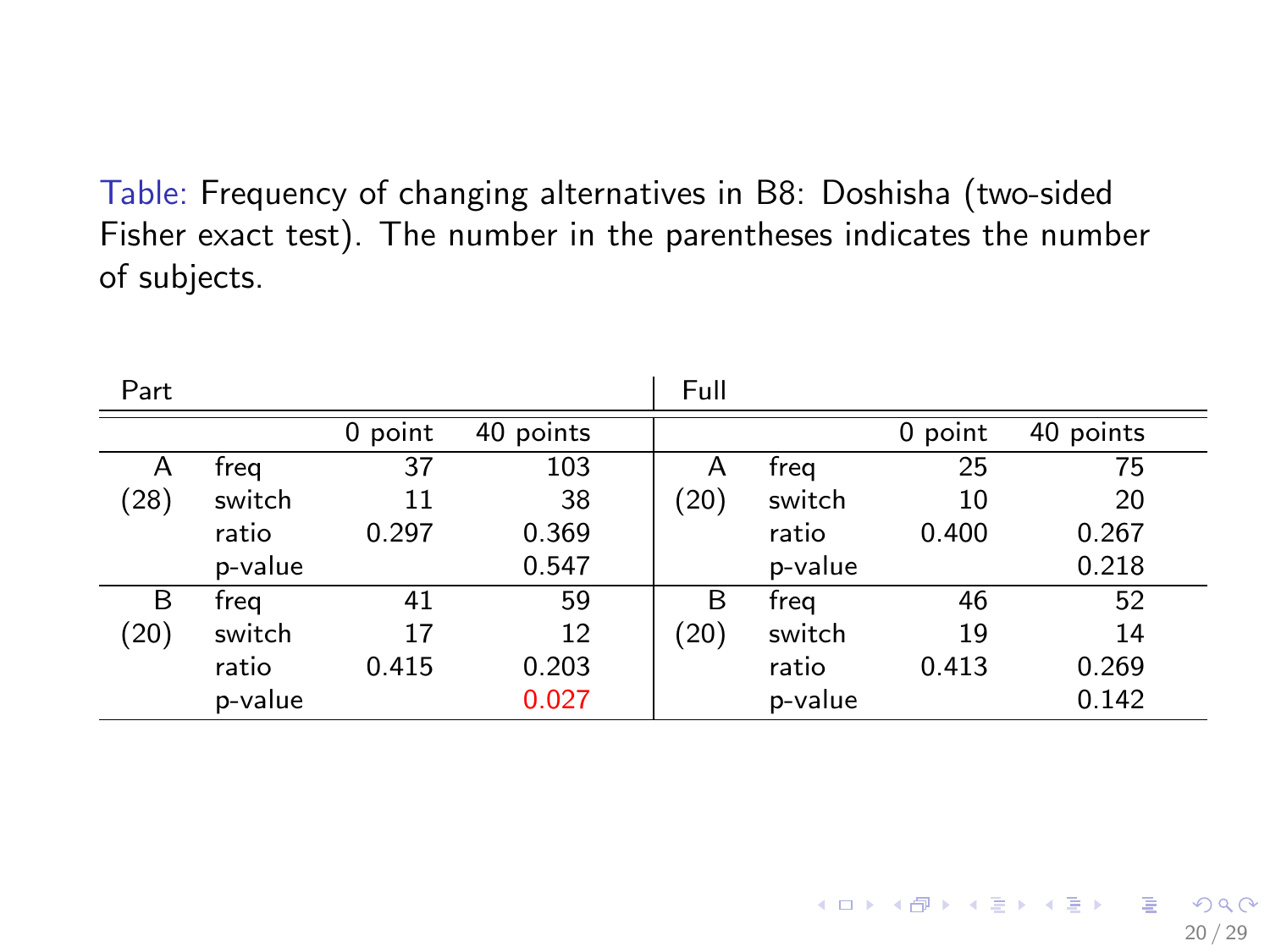Table: Frequency of changing alternatives in B8: Doshisha (two-sided Fisher exact test). The number in the parentheses indicates the number of subjects.

| Part |         |         |           | Full |         |         |           |
|------|---------|---------|-----------|------|---------|---------|-----------|
|      |         | 0 point | 40 points |      |         | 0 point | 40 points |
| A    | freg    | 37      | 103       | Α    | freg    | 25      | 75        |
| (28) | switch  | 11      | 38        | (20) | switch  | 10      | 20        |
|      | ratio   | 0.297   | 0.369     |      | ratio   | 0.400   | 0.267     |
|      | p-value |         | 0.547     |      | p-value |         | 0.218     |
| B    | freg    | 41      | 59        | B    | freg    | 46      | 52        |
| (20) | switch  | 17      | 12        | (20) | switch  | 19      | 14        |
|      | ratio   | 0.415   | 0.203     |      | ratio   | 0.413   | 0.269     |
|      | p-value |         | 0.027     |      | p-value |         | 0.142     |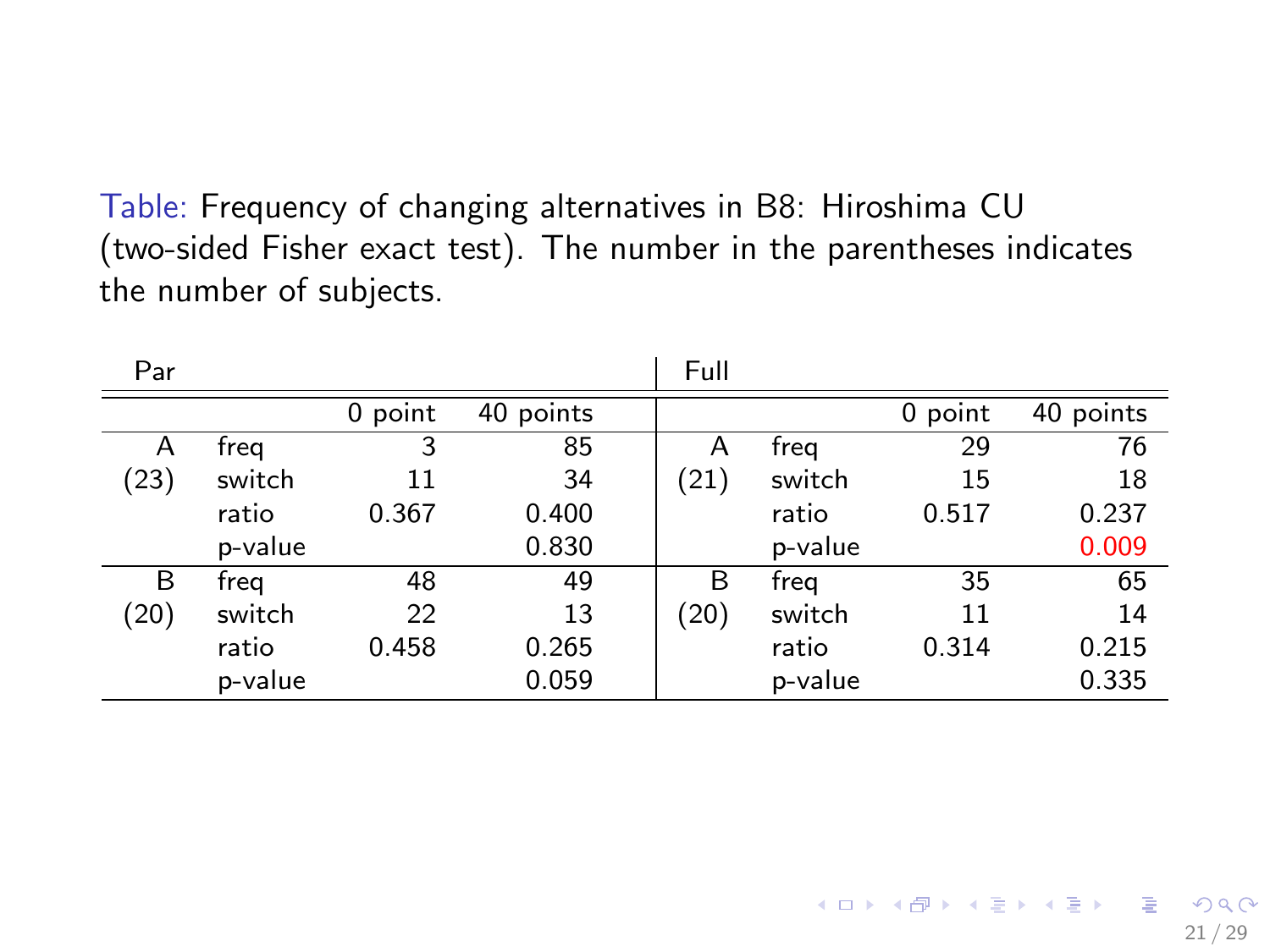Table: Frequency of changing alternatives in B8: Hiroshima CU (two-sided Fisher exact test). The number in the parentheses indicates the number of subjects.

| Par  |         |         |           | Full      |         |         |             |
|------|---------|---------|-----------|-----------|---------|---------|-------------|
|      |         | 0 point | 40 points |           |         | 0 point | $40$ points |
| A    | freg    | 3       | 85        | А         | freg    | 29      | 76          |
| (23) | switch  | 11      | 34        | (21)      | switch  | 15      | 18          |
|      | ratio   | 0.367   | 0.400     |           | ratio   | 0.517   | 0.237       |
|      | p-value |         | 0.830     |           | p-value |         | 0.009       |
| B    | freg    | 48      | 49        | B         | freg    | 35      | 65          |
| (20) | switch  | 22      | 13        | $^{(20)}$ | switch  | 11      | 14          |
|      | ratio   | 0.458   | 0.265     |           | ratio   | 0.314   | 0.215       |
|      | p-value |         | 0.059     |           | p-value |         | 0.335       |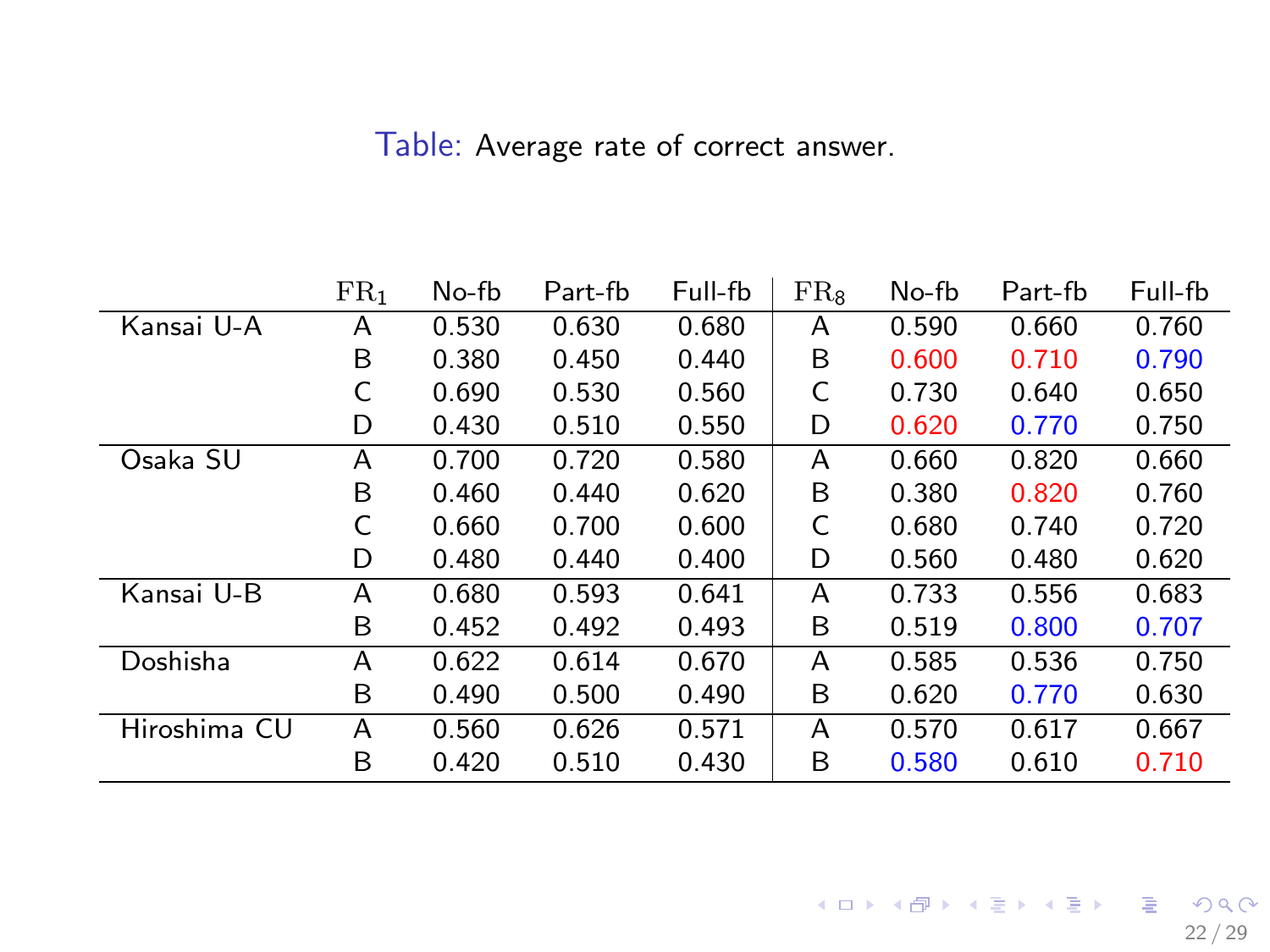Table: Average rate of correct answer.

|              | FR <sub>1</sub> | No-fb | Part-fb | Full-fb | $FR_{8}$ | No-fb | Part-fb | Full-fb |
|--------------|-----------------|-------|---------|---------|----------|-------|---------|---------|
| Kansai U-A   | Α               | 0.530 | 0.630   | 0.680   | A        | 0.590 | 0.660   | 0.760   |
|              | B               | 0.380 | 0.450   | 0.440   | B        | 0.600 | 0.710   | 0.790   |
|              |                 | 0.690 | 0.530   | 0.560   | C        | 0.730 | 0.640   | 0.650   |
|              | D               | 0.430 | 0.510   | 0.550   | D        | 0.620 | 0.770   | 0.750   |
| Osaka SU     | A               | 0.700 | 0.720   | 0.580   | A        | 0.660 | 0.820   | 0.660   |
|              | B               | 0.460 | 0.440   | 0.620   | B        | 0.380 | 0.820   | 0.760   |
|              | C               | 0.660 | 0.700   | 0.600   | C        | 0.680 | 0.740   | 0.720   |
|              | D               | 0.480 | 0.440   | 0.400   | D        | 0.560 | 0.480   | 0.620   |
| Kansai U-B   | А               | 0.680 | 0.593   | 0.641   | A        | 0.733 | 0.556   | 0.683   |
|              | B               | 0.452 | 0.492   | 0.493   | B        | 0.519 | 0.800   | 0.707   |
| Doshisha     | А               | 0.622 | 0.614   | 0.670   | A        | 0.585 | 0.536   | 0.750   |
|              | B               | 0.490 | 0.500   | 0.490   | B        | 0.620 | 0.770   | 0.630   |
| Hiroshima CU | А               | 0.560 | 0.626   | 0.571   | A        | 0.570 | 0.617   | 0.667   |
|              | В               | 0.420 | 0.510   | 0.430   | B        | 0.580 | 0.610   | 0.710   |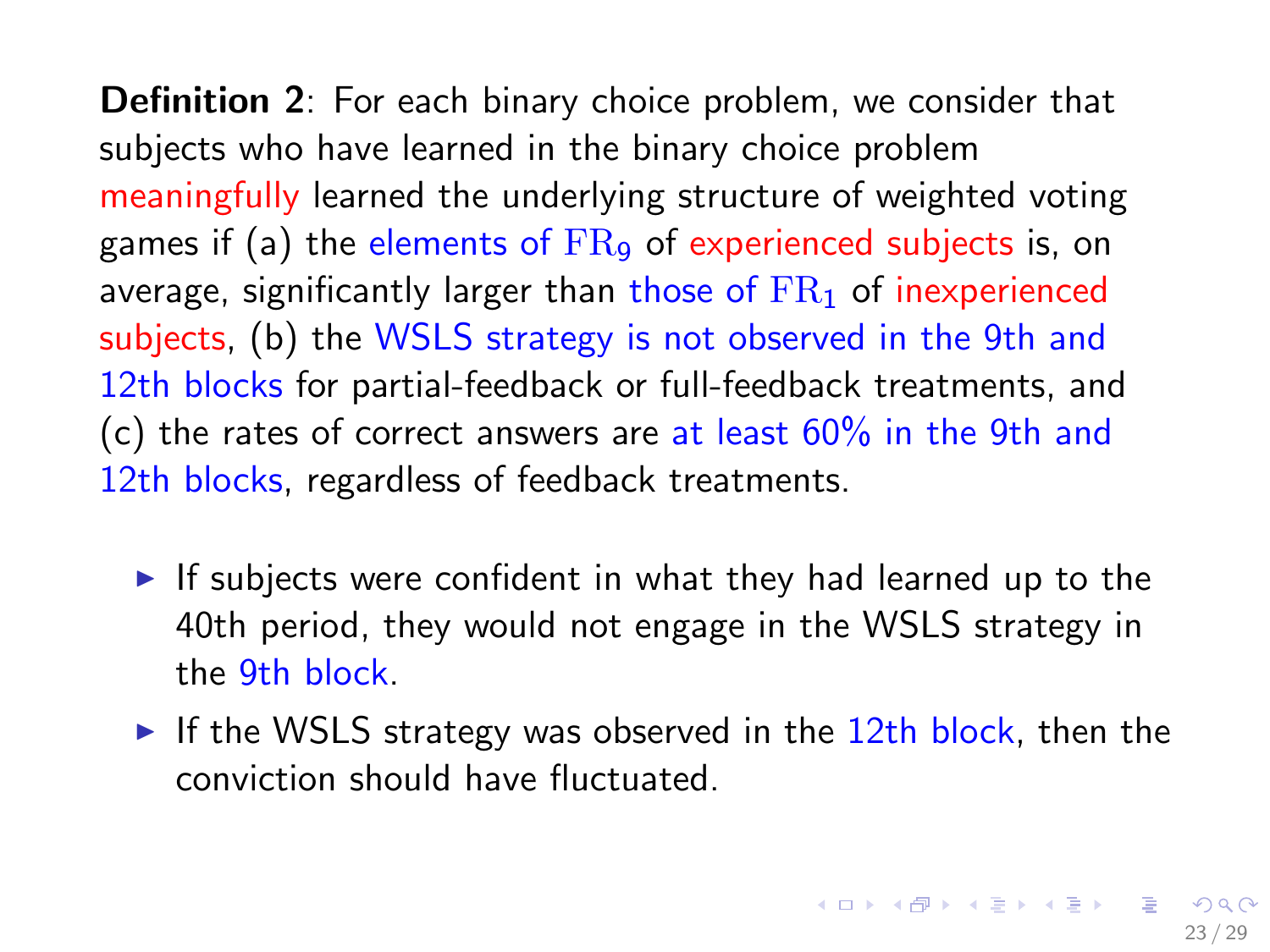Definition 2: For each binary choice problem, we consider that subjects who have learned in the binary choice problem meaningfully learned the underlying structure of weighted voting games if (a) the elements of  $FR<sub>9</sub>$  of experienced subjects is, on average, significantly larger than those of  $FR<sub>1</sub>$  of inexperienced subjects, (b) the WSLS strategy is not observed in the 9th and 12th blocks for partial-feedback or full-feedback treatments, and (c) the rates of correct answers are at least  $60\%$  in the 9th and 12th blocks, regardless of feedback treatments.

- If subjects were confident in what they had learned up to the 40th period, they would not engage in the WSLS strategy in the 9th block.
- If the WSLS strategy was observed in the  $12$ th block, then the conviction should have fluctuated.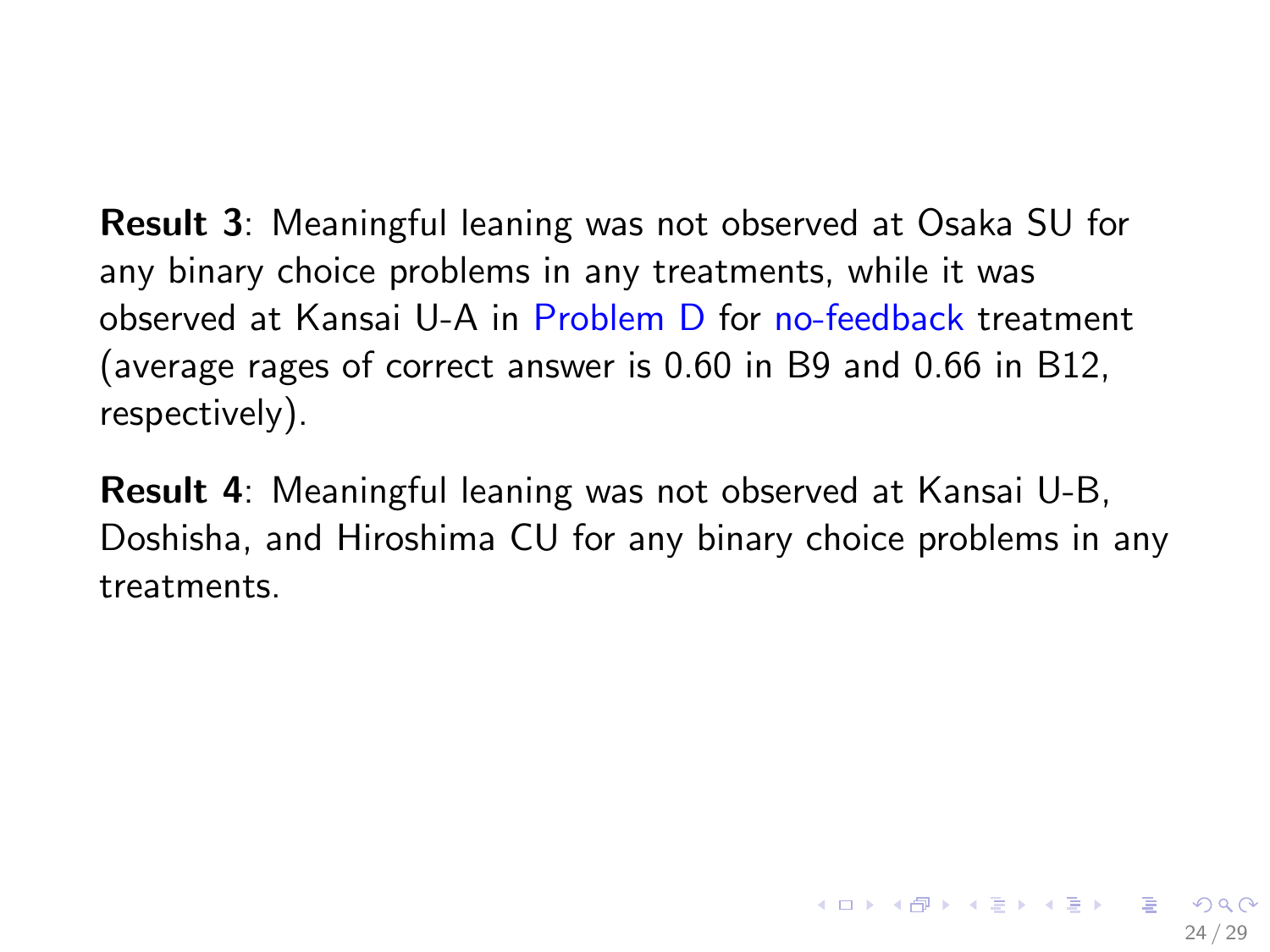<span id="page-23-0"></span>Result 3: Meaningful leaning was not observed at Osaka SU for any binary choice problems in any treatments, while it was observed at Kansai U-A in Problem D for no-feedback treatment (average rages of correct answer is 0.60 in B9 and 0.66 in B12, respectively).

Result 4: Meaningful leaning was not observed at Kansai U-B, Doshisha, and Hiroshima CU for any binary choice problems in any treatments.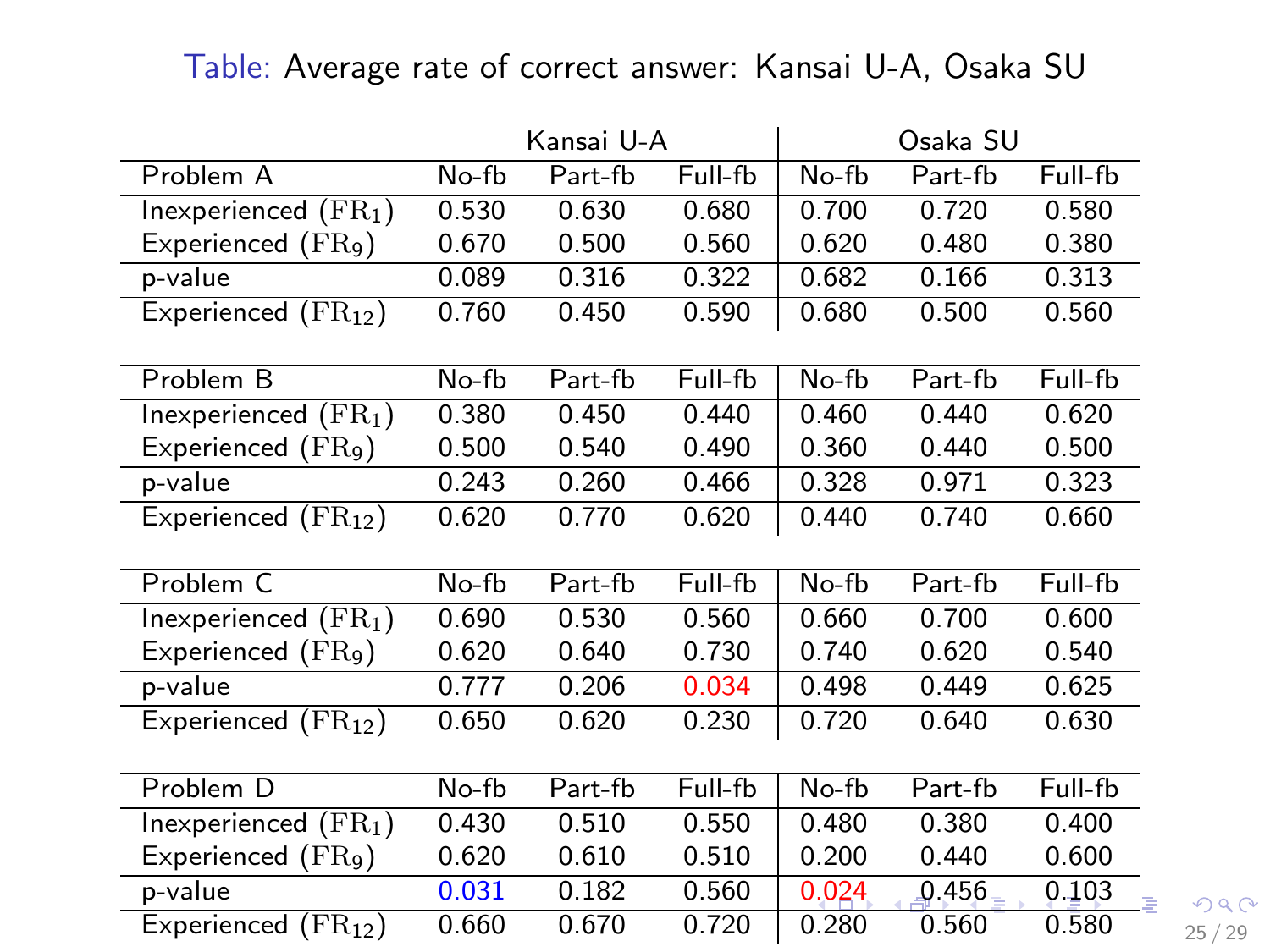<span id="page-24-0"></span>Table: Average rate of correct answer: Kansai U-A, Osaka SU

|                                 |       | Kansai U-A |         |       | Osaka SU |            |
|---------------------------------|-------|------------|---------|-------|----------|------------|
| Problem A                       | No-fb | Part-fb    | Full-fb | No-fb | Part-fb  | Full-fb    |
| Inexperienced $(FR_1)$          | 0.530 | 0.630      | 0.680   | 0.700 | 0.720    | 0.580      |
| Experienced $(\text{FR}_9)$     | 0.670 | 0.500      | 0.560   | 0.620 | 0.480    | 0.380      |
| p-value                         | 0.089 | 0.316      | 0.322   | 0.682 | 0.166    | 0.313      |
| Experienced $(\text{FR}_{12})$  | 0.760 | 0.450      | 0.590   | 0.680 | 0.500    | 0.560      |
|                                 |       |            |         |       |          |            |
| Problem B                       | No-fb | Part-fb    | Full-fb | No-fb | Part-fb  | Full-fb    |
| Inexperienced $(\mathrm{FR}_1)$ | 0.380 | 0.450      | 0.440   | 0.460 | 0.440    | 0.620      |
| Experienced $(FR9)$             | 0.500 | 0.540      | 0.490   | 0.360 | 0.440    | 0.500      |
| p-value                         | 0.243 | 0.260      | 0.466   | 0.328 | 0.971    | 0.323      |
| Experienced $(\text{FR}_{12})$  | 0.620 | 0.770      | 0.620   | 0.440 | 0.740    | 0.660      |
|                                 |       |            |         |       |          |            |
| Problem C                       | No-fb | Part-fb    | Full-fb | No-fb | Part-fb  | Full-fb    |
| Inexperienced $(\mathrm{FR}_1)$ | 0.690 | 0.530      | 0.560   | 0.660 | 0.700    | 0.600      |
| Experienced $(FR9)$             | 0.620 | 0.640      | 0.730   | 0.740 | 0.620    | 0.540      |
| p-value                         | 0.777 | 0.206      | 0.034   | 0.498 | 0.449    | 0.625      |
| Experienced $(\text{FR}_{12})$  | 0.650 | 0.620      | 0.230   | 0.720 | 0.640    | 0.630      |
|                                 |       |            |         |       |          |            |
| Problem D                       | No-fb | Part-fb    | Full-fb | No-fb | Part-fb  | Full-fb    |
| Inexperienced $(\mathrm{FR}_1)$ | 0.430 | 0.510      | 0.550   | 0.480 | 0.380    | 0.400      |
| Experienced $(FR9)$             | 0.620 | 0.610      | 0.510   | 0.200 | 0.440    | 0.600      |
| p-value                         | 0.031 | 0.182      | 0.560   | 0.024 | 0.456    | 0.103<br>ă |
|                                 |       |            |         |       |          |            |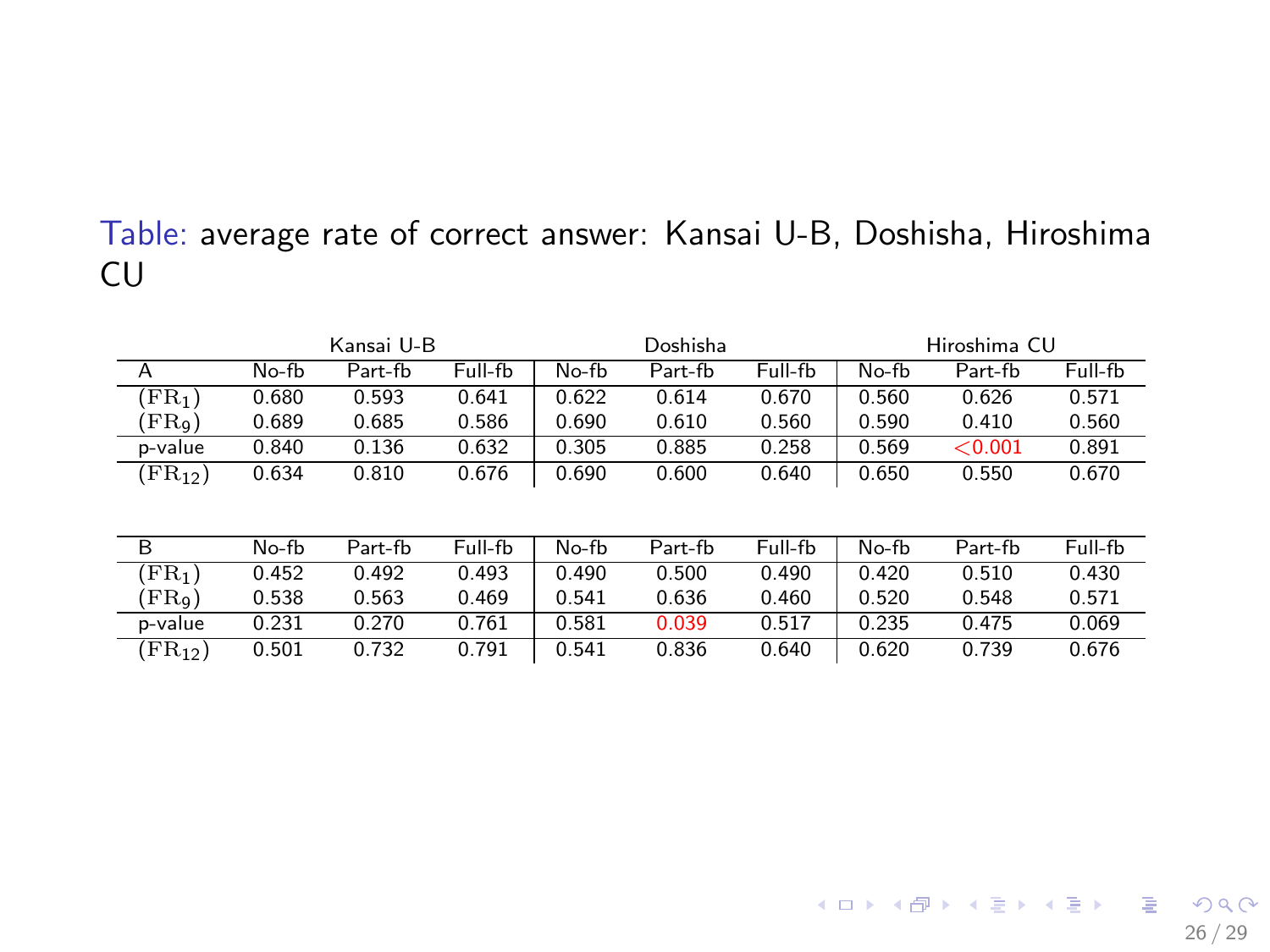#### <span id="page-25-0"></span>Table: average rate of correct answer: Kansai U-B, Doshisha, Hiroshima CU

|                          | Kansai U-B |         |         | Doshisha |         |         | Hiroshima CU |         |         |
|--------------------------|------------|---------|---------|----------|---------|---------|--------------|---------|---------|
| $\overline{A}$           | No-fb      | Part-fb | Full-fb | $No-fb$  | Part-fb | Full-fb | No-fb        | Part-fb | Full-fb |
| $\rm FR_1$ )             | 0.680      | 0.593   | 0.641   | 0.622    | 0.614   | 0.670   | 0.560        | 0.626   | 0.571   |
| $\langle FR_{9} \rangle$ | 0.689      | 0.685   | 0.586   | 0.690    | 0.610   | 0.560   | 0.590        | 0.410   | 0.560   |
| p-value                  | 0.840      | 0.136   | 0.632   | 0.305    | 0.885   | 0.258   | 0.569        | < 0.001 | 0.891   |
| $(FR_{12})$              | 0.634      | 0.810   | 0.676   | 0.690    | 0.600   | 0.640   | 0.650        | 0.550   | 0.670   |
|                          |            |         |         |          |         |         |              |         |         |
| B                        | No-fb      | Part-fb | Full-fb | No-fb    | Part-fb | Full-fb | No-fb        | Part-fb | Full-fb |
| $(FR_1)$                 | 0.452      | 0.492   | 0.493   | 0.490    | 0.500   | 0.490   | 0.420        | 0.510   | 0.430   |
| (FRq)                    | 0.538      | 0.563   | 0.469   | 0.541    | 0.636   | 0.460   | 0.520        | 0.548   | 0.571   |
| p-value                  | 0.231      | 0.270   | 0.761   | 0.581    | 0.039   | 0.517   | 0.235        | 0.475   | 0.069   |
| $(FR_{12})$              | 0.501      | 0.732   | 0.791   | 0.541    | 0.836   | 0.640   | 0.620        | 0.739   | 0.676   |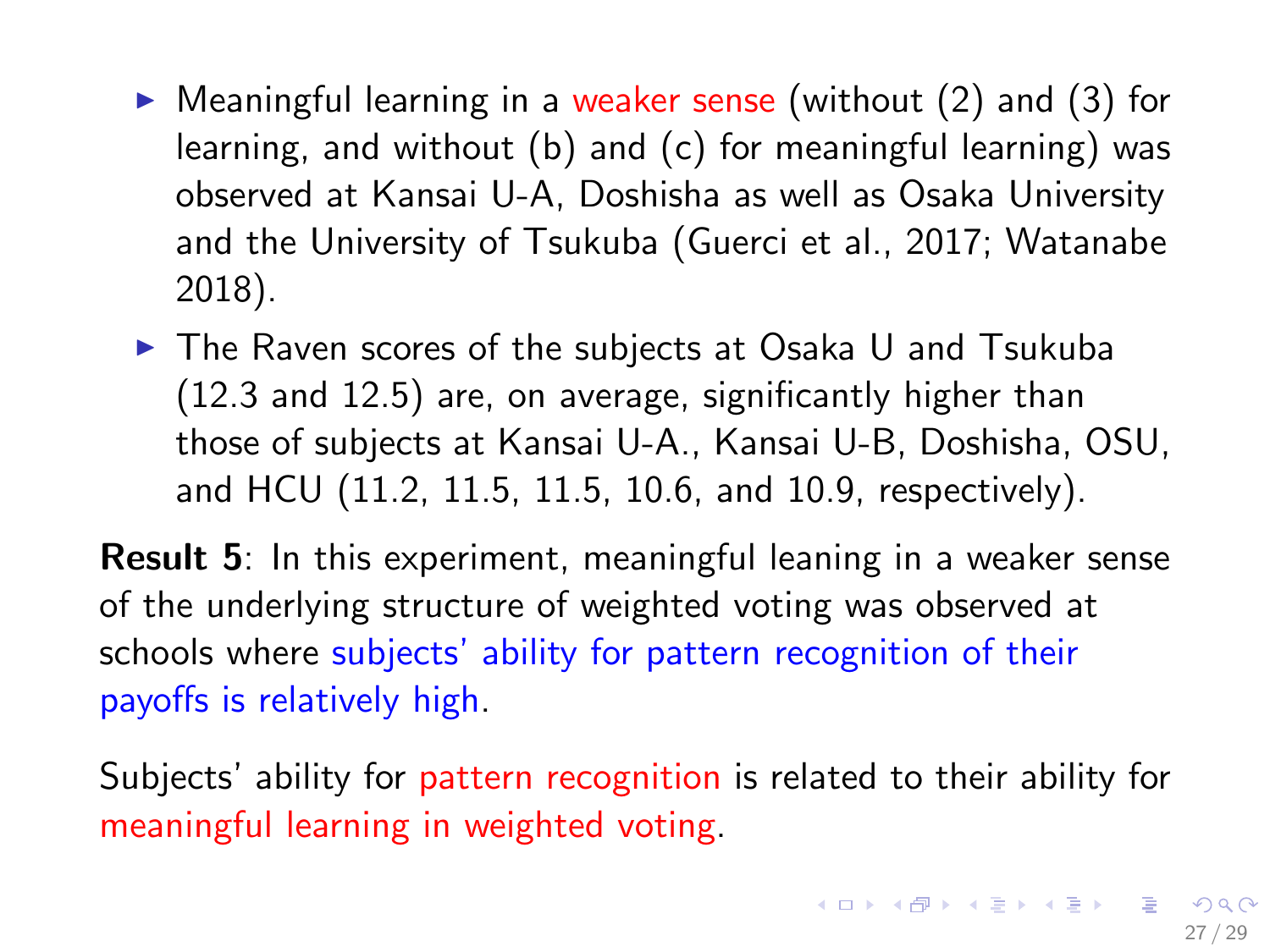- $\triangleright$  Meaningful learning in a weaker sense (without (2) and (3) for learning, and without (b) and (c) for meaningful learning) was observed at Kansai U-A, Doshisha as well as Osaka University and the University of Tsukuba (Guerci et al., 2017; Watanabe 2018).
- $\triangleright$  The Raven scores of the subjects at Osaka U and Tsukuba (12.3 and 12.5) are, on average, significantly higher than those of subjects at Kansai U-A., Kansai U-B, Doshisha, OSU, and HCU (11.2, 11.5, 11.5, 10.6, and 10.9, respectively).

Result 5: In this experiment, meaningful leaning in a weaker sense of the underlying structure of weighted voting was observed at schools where subjects' ability for pattern recognition of their payoffs is relatively high.

Subjects' ability for pattern recognition is related to their ability for meaningful learning in weighted voting.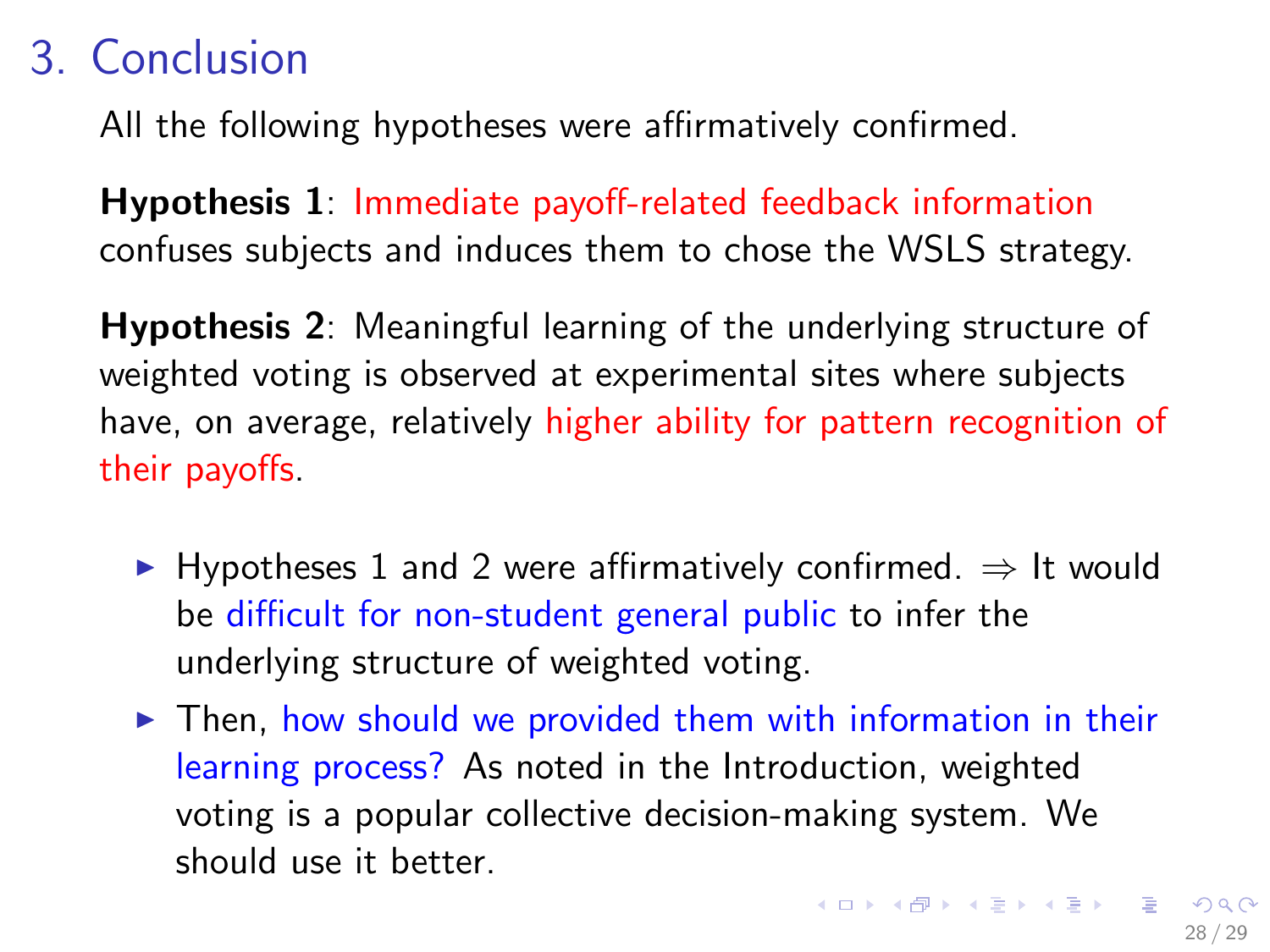# 3. Conclusion

All the following hypotheses were affirmatively confirmed.

Hypothesis 1: Immediate payoff-related feedback information confuses subjects and induces them to chose the WSLS strategy.

Hypothesis 2: Meaningful learning of the underlying structure of weighted voting is observed at experimental sites where subjects have, on average, relatively higher ability for pattern recognition of their payoffs.

- $\triangleright$  Hypotheses 1 and 2 were affirmatively confirmed.  $\Rightarrow$  It would be difficult for non-student general public to infer the underlying structure of weighted voting.
- $\triangleright$  Then, how should we provided them with information in their learning process? As noted in the Introduction, weighted voting is a popular collective decision-making system. We should use it better.